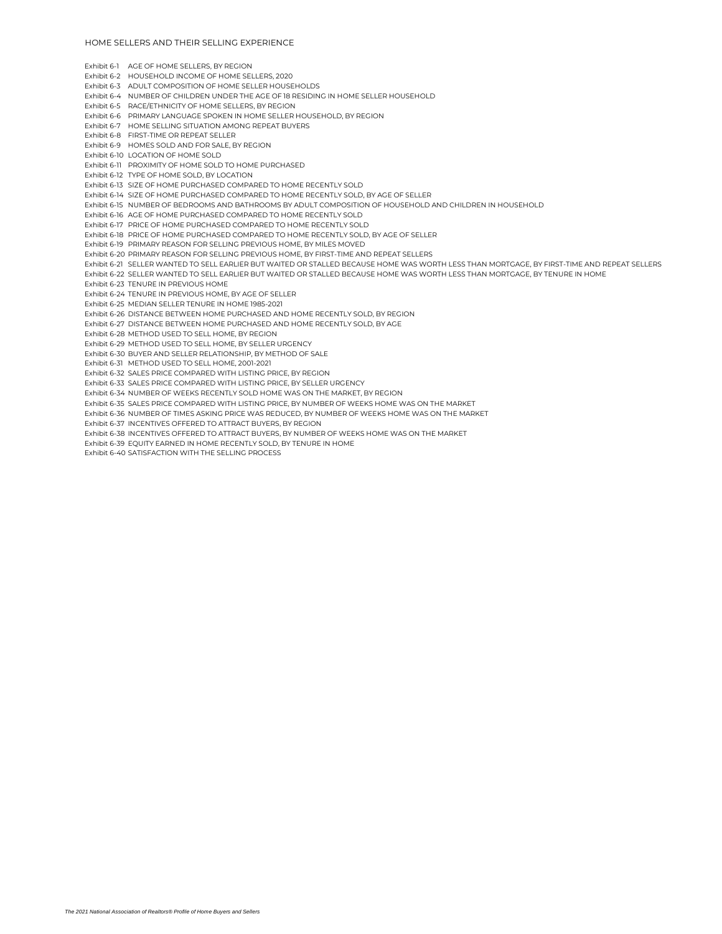Exhibit 6-1 AGE OF HOME SELLERS, BY REGION

Exhibit 6-2 HOUSEHOLD INCOME OF HOME SELLERS, 2020

Exhibit 6-3 ADULT COMPOSITION OF HOME SELLER HOUSEHOLDS

Exhibit 6-4 NUMBER OF CHILDREN UNDER THE AGE OF 18 RESIDING IN HOME SELLER HOUSEHOLD

Exhibit 6-5 RACE/ETHNICITY OF HOME SELLERS, BY REGION

Exhibit 6-6 PRIMARY LANGUAGE SPOKEN IN HOME SELLER HOUSEHOLD, BY REGION

Exhibit 6-7 HOME SELLING SITUATION AMONG REPEAT BUYERS

Exhibit 6-8 FIRST-TIME OR REPEAT SELLER

Exhibit 6-9 HOMES SOLD AND FOR SALE, BY REGION

Exhibit 6-10 LOCATION OF HOME SOLD

Exhibit 6-11 PROXIMITY OF HOME SOLD TO HOME PURCHASED

Exhibit 6-12 TYPE OF HOME SOLD, BY LOCATION

Exhibit 6-13 SIZE OF HOME PURCHASED COMPARED TO HOME RECENTLY SOLD

Exhibit 6-14 SIZE OF HOME PURCHASED COMPARED TO HOME RECENTLY SOLD, BY AGE OF SELLER

Exhibit 6-15 NUMBER OF BEDROOMS AND BATHROOMS BY ADULT COMPOSITION OF HOUSEHOLD AND CHILDREN IN HOUSEHOLD

Exhibit 6-16 AGE OF HOME PURCHASED COMPARED TO HOME RECENTLY SOLD

Exhibit 6-17 PRICE OF HOME PURCHASED COMPARED TO HOME RECENTLY SOLD

Exhibit 6-18 PRICE OF HOME PURCHASED COMPARED TO HOME RECENTLY SOLD, BY AGE OF SELLER

Exhibit 6-19 PRIMARY REASON FOR SELLING PREVIOUS HOME, BY MILES MOVED

Exhibit 6-20 PRIMARY REASON FOR SELLING PREVIOUS HOME, BY FIRST-TIME AND REPEAT SELLERS

Exhibit 6-21 SELLER WANTED TO SELL EARLIER BUT WAITED OR STALLED BECAUSE HOME WAS WORTH LESS THAN MORTGAGE, BY FIRST-TIME AND REPEAT SELLERS

Exhibit 6-22 SELLER WANTED TO SELL EARLIER BUT WAITED OR STALLED BECAUSE HOME WAS WORTH LESS THAN MORTGAGE, BY TENURE IN HOME

Exhibit 6-23 TENURE IN PREVIOUS HOME

Exhibit 6-24 TENURE IN PREVIOUS HOME, BY AGE OF SELLER

Exhibit 6-25 MEDIAN SELLER TENURE IN HOME 1985-2021

Exhibit 6-26 DISTANCE BETWEEN HOME PURCHASED AND HOME RECENTLY SOLD, BY REGION

Exhibit 6-27 DISTANCE BETWEEN HOME PURCHASED AND HOME RECENTLY SOLD, BY AGE

Exhibit 6-28 METHOD USED TO SELL HOME, BY REGION

Exhibit 6-29 METHOD USED TO SELL HOME, BY SELLER URGENCY

Exhibit 6-30 BUYER AND SELLER RELATIONSHIP, BY METHOD OF SALE

Exhibit 6-31 METHOD USED TO SELL HOME, 2001-2021

Exhibit 6-32 SALES PRICE COMPARED WITH LISTING PRICE, BY REGION

Exhibit 6-33 SALES PRICE COMPARED WITH LISTING PRICE, BY SELLER URGENCY

Exhibit 6-34 NUMBER OF WEEKS RECENTLY SOLD HOME WAS ON THE MARKET, BY REGION

Exhibit 6-35 SALES PRICE COMPARED WITH LISTING PRICE, BY NUMBER OF WEEKS HOME WAS ON THE MARKET

Exhibit 6-36 NUMBER OF TIMES ASKING PRICE WAS REDUCED, BY NUMBER OF WEEKS HOME WAS ON THE MARKET

Exhibit 6-37 INCENTIVES OFFERED TO ATTRACT BUYERS, BY REGION

Exhibit 6-38 INCENTIVES OFFERED TO ATTRACT BUYERS, BY NUMBER OF WEEKS HOME WAS ON THE MARKET

Exhibit 6-39 EQUITY EARNED IN HOME RECENTLY SOLD, BY TENURE IN HOME

Exhibit 6-40 SATISFACTION WITH THE SELLING PROCESS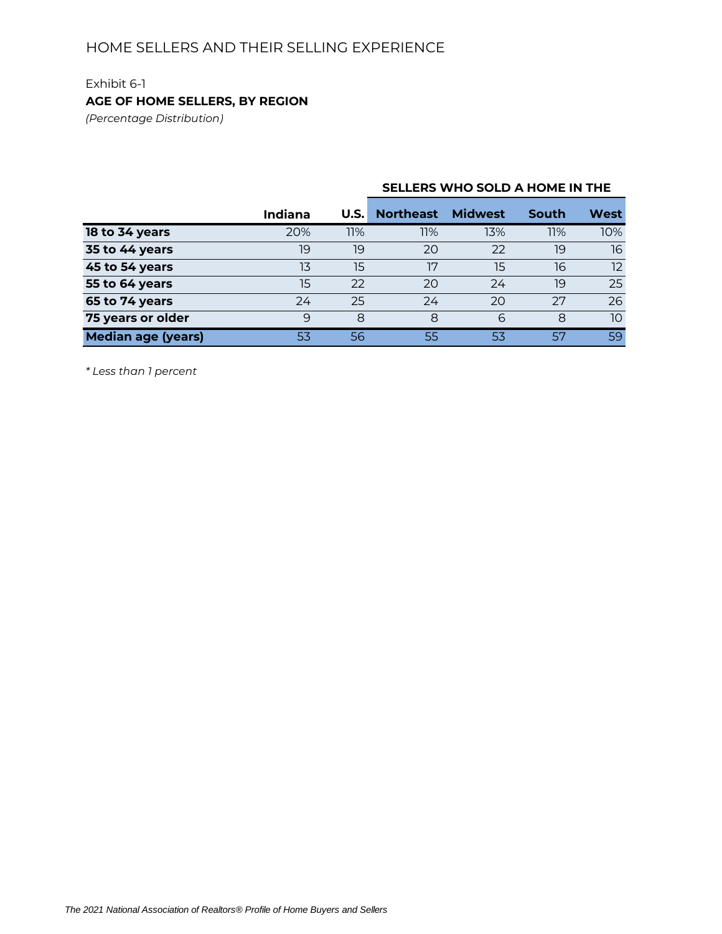## Exhibit 6-1 **AGE OF HOME SELLERS, BY REGION**

*(Percentage Distribution)*

## **U.S. Northeast Midwest South West 18 to 34 years** 20% 11% 11% 13% 11% 10% **35 to 44 years** 19 19 19 20 22 19 16 **45 to 54 years** 13 15 17 15 16 12 **55 to 64 years** 15 22 20 24 19 25 **65 to 74 years** 24 25 24 20 27 26 **75 years or older 9 8 8 6 8 10 Median age (years)** 53 56 55 53 57 59 **Indiana**

**SELLERS WHO SOLD A HOME IN THE**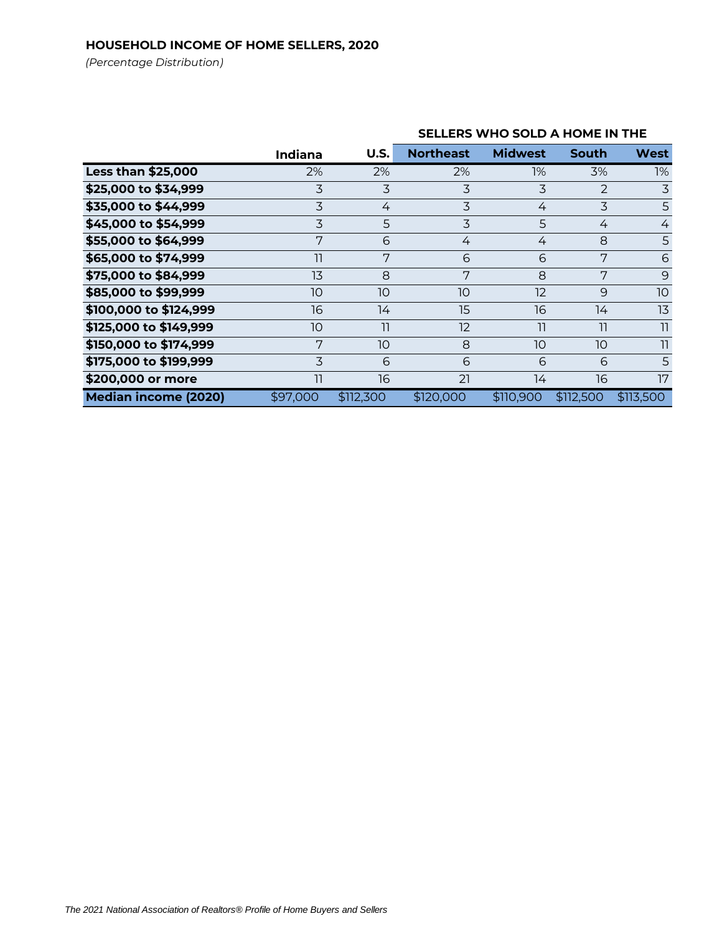## **HOUSEHOLD INCOME OF HOME SELLERS, 2020**

*(Percentage Distribution)*

|                             | <b>Indiana</b> | U.S.      | <b>Northeast</b> | <b>Midwest</b> | South          | <b>West</b>    |
|-----------------------------|----------------|-----------|------------------|----------------|----------------|----------------|
| <b>Less than \$25,000</b>   | 2%             | 2%        | 2%               | 1%             | 3%             | 1%             |
| \$25,000 to \$34,999        | 3              | 3         | $\overline{3}$   | 3              | $\overline{2}$ | $\overline{3}$ |
| \$35,000 to \$44,999        | 3              | 4         | 3                | 4              | 3              | 5              |
| \$45,000 to \$54,999        | 3              | 5         | 3                | 5              | 4              | $\overline{4}$ |
| \$55,000 to \$64,999        | 7              | 6         | 4                | 4              | 8              | 5              |
| \$65,000 to \$74,999        | 11             | 7         | 6                | 6              | 7              | 6              |
| \$75,000 to \$84,999        | 13             | 8         | 7                | 8              | 7              | 9              |
| \$85,000 to \$99,999        | 10             | 10        | 10               | 12             | 9              | 10             |
| \$100,000 to \$124,999      | 16             | 14        | 15               | 16             | 14             | 13             |
| \$125,000 to \$149,999      | 10             | 11        | 12               | 11             | 11             | 11             |
| \$150,000 to \$174,999      | 7              | 10        | 8                | 10             | 10             | 11             |
| \$175,000 to \$199,999      | 3              | 6         | 6                | 6              | 6              | 5              |
| \$200,000 or more           | 11             | 16        | 21               | 14             | 16             | 17             |
| <b>Median income (2020)</b> | \$97,000       | \$112,300 | \$120,000        | \$110,900      | \$112,500      | \$113.500      |

## **SELLERS WHO SOLD A HOME IN THE**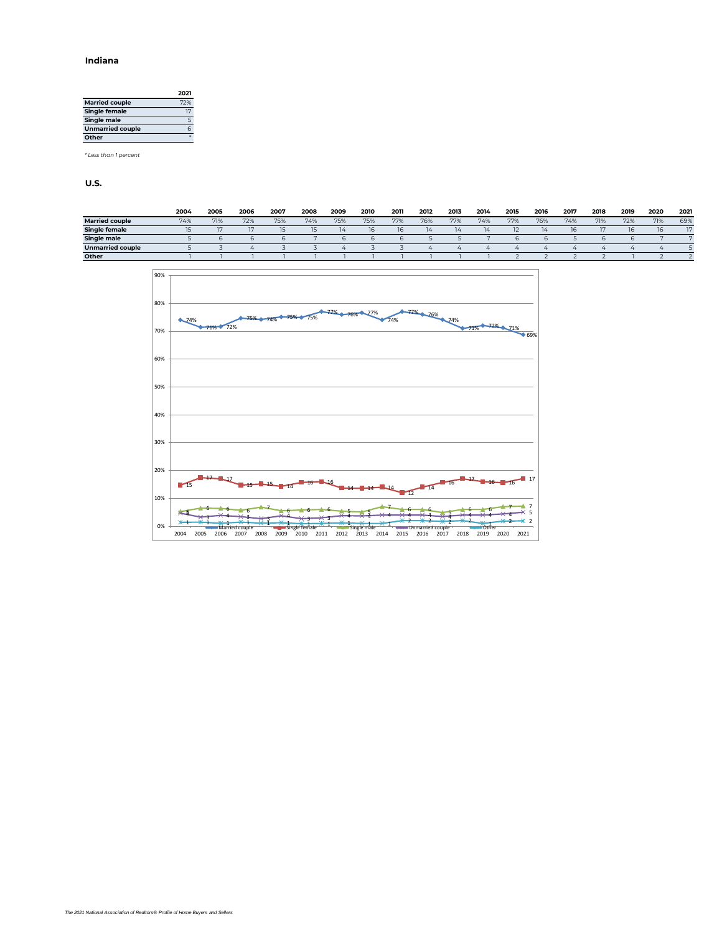#### **Indiana**

|                         | 2021 |
|-------------------------|------|
| <b>Married couple</b>   | 72%  |
| <b>Single female</b>    | 17   |
| Single male             | 5    |
| <b>Unmarried couple</b> | 6    |
| Other                   |      |

*\* Less than 1 percent*

|                       | 2004 | 2005 | 2006 | 2007 | 2008 | 2009 | 2010 | 2011 | 2012 | 2013 | 2014 | 2015 | 2016 | 2017 | 2018 | 2019 | 2020 | 2021 |
|-----------------------|------|------|------|------|------|------|------|------|------|------|------|------|------|------|------|------|------|------|
| <b>Married couple</b> | 74%  | 71%  | 72%  | 75%  | 74%  | 75%  | 75%  | 77%  | 76%  | 77%  | 74%  | 77%  | 76%  | 74%  | 71%  | 72%  | 71%  | 69%  |
| <b>Single female</b>  |      | 3.07 |      | 15   | 15   |      | 16   | 16   | 14   | 14   |      |      | 14   | 16   |      |      | 16   | 17   |
| Single male           |      |      |      |      |      |      |      |      |      |      |      |      |      |      |      |      |      |      |
| Unmarried couple      |      |      |      |      |      |      |      |      |      |      |      |      |      |      |      |      |      |      |
| Other                 |      |      |      |      |      |      |      |      |      |      |      |      |      |      |      |      |      |      |

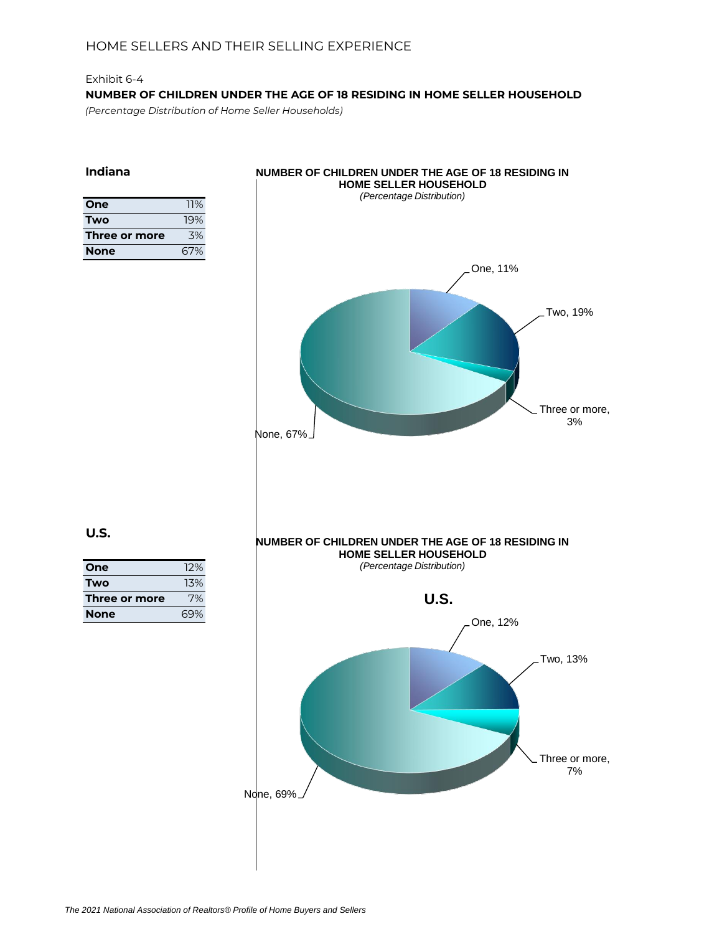## Exhibit 6-4 **NUMBER OF CHILDREN UNDER THE AGE OF 18 RESIDING IN HOME SELLER HOUSEHOLD** *(Percentage Distribution of Home Seller Households)*

**Indiana**

| One           | 11% |
|---------------|-----|
| Two           | 19% |
| Three or more | .3% |
| <b>None</b>   | 67% |



| One           | 12% |
|---------------|-----|
| Two           | 13% |
| Three or more | 7%  |
| <b>None</b>   | 69% |
|               |     |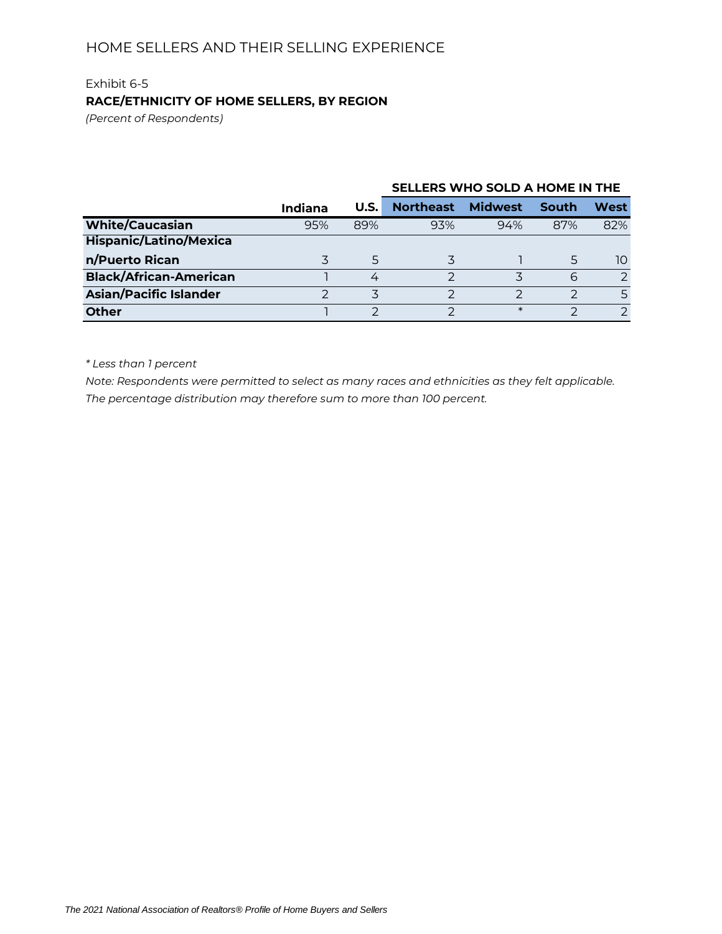# Exhibit 6-5 **RACE/ETHNICITY OF HOME SELLERS, BY REGION**

*(Percent of Respondents)*

|                               |         |      | SELLERS WHO SOLD A HOME IN THE |                |       |               |  |
|-------------------------------|---------|------|--------------------------------|----------------|-------|---------------|--|
|                               | Indiana | U.S. | <b>Northeast</b>               | <b>Midwest</b> | South | West          |  |
| <b>White/Caucasian</b>        | 95%     | 89%  | 93%                            | 94%            | 87%   | 82%           |  |
| <b>Hispanic/Latino/Mexica</b> |         |      |                                |                |       |               |  |
| n/Puerto Rican                |         | 5    |                                |                | 5     | 10            |  |
| <b>Black/African-American</b> |         | 4    | っ                              | ス              | 6     | $\mathcal{P}$ |  |
| <b>Asian/Pacific Islander</b> |         |      |                                | っ              |       |               |  |
| <b>Other</b>                  |         |      |                                | $\ast$         |       |               |  |

*\* Less than 1 percent*

*Note: Respondents were permitted to select as many races and ethnicities as they felt applicable. The percentage distribution may therefore sum to more than 100 percent.*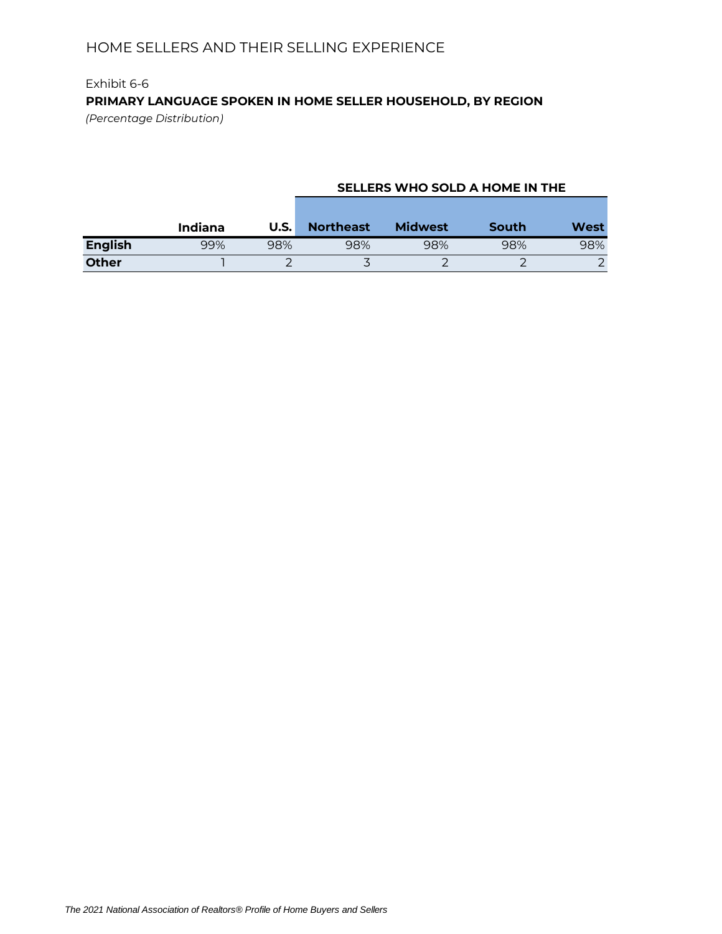# Exhibit 6-6 **PRIMARY LANGUAGE SPOKEN IN HOME SELLER HOUSEHOLD, BY REGION**

*(Percentage Distribution)*

### **SELLERS WHO SOLD A HOME IN THE**

|                | Indiana | U.S. | <b>Northeast</b> | <b>Midwest</b> | South | <b>West</b> |
|----------------|---------|------|------------------|----------------|-------|-------------|
| <b>English</b> | 99%     | 98%  | 98%              | 98%            | 98%   | 98%         |
| <b>Other</b>   |         |      | $\check{ }$      |                |       |             |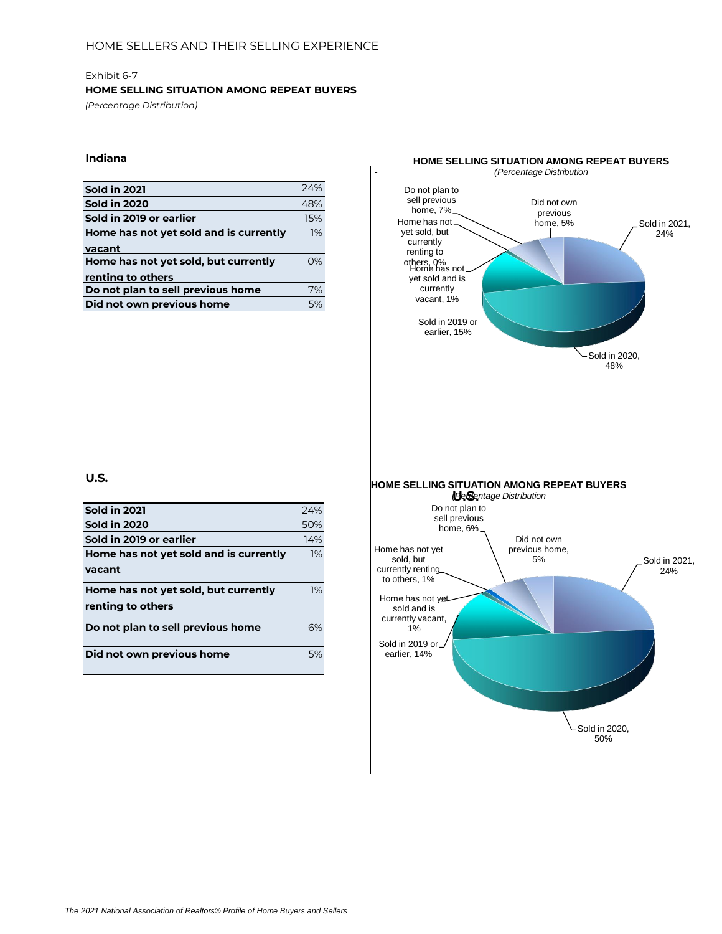#### **HOME SELLING SITUATION AMONG REPEAT BUYERS**

*(Percentage Distribution)*

### **Indiana**

| <b>Sold in 2021</b>                    | 74% |
|----------------------------------------|-----|
| <b>Sold in 2020</b>                    | 48% |
| Sold in 2019 or earlier                | 15% |
| Home has not yet sold and is currently | 1%  |
| vacant                                 |     |
| Home has not yet sold, but currently   | 0%  |
| renting to others                      |     |
| Do not plan to sell previous home      | 7%  |
| Did not own previous home              | 5%  |



**U.S.**

| <b>Sold in 2021</b>                    | 74% |
|----------------------------------------|-----|
| <b>Sold in 2020</b>                    | 50% |
| Sold in 2019 or earlier                | 14% |
| Home has not yet sold and is currently | 1%  |
| vacant                                 |     |
| Home has not yet sold, but currently   | 1%  |
| renting to others                      |     |
| Do not plan to sell previous home      | 6%  |
| Did not own previous home              | 5%  |

Sold in 2020, 50%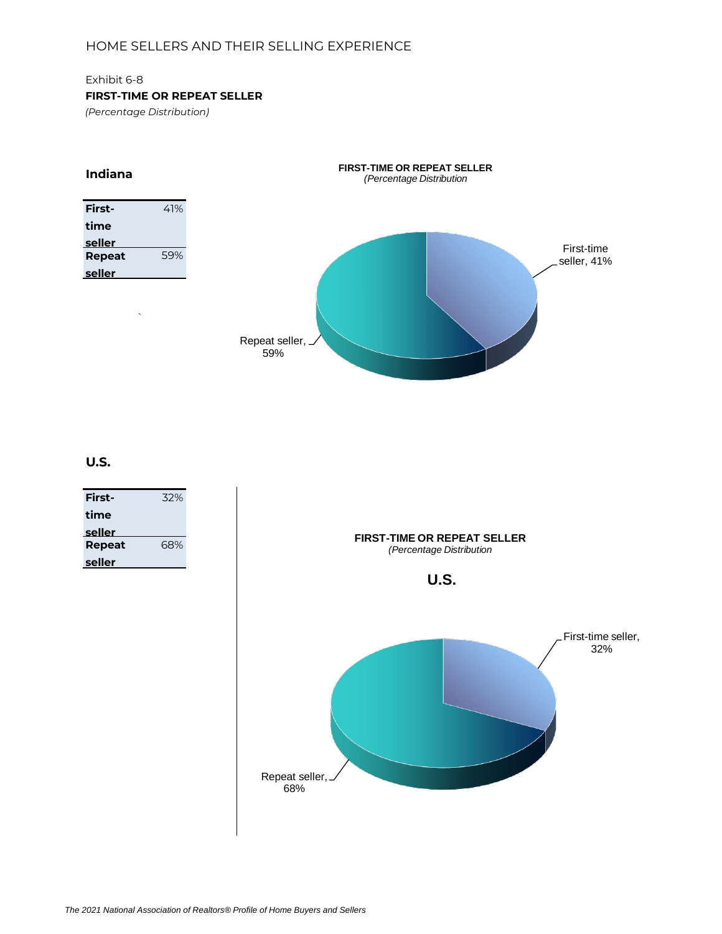### Exhibit 6-8

### **FIRST-TIME OR REPEAT SELLER**

*(Percentage Distribution)*

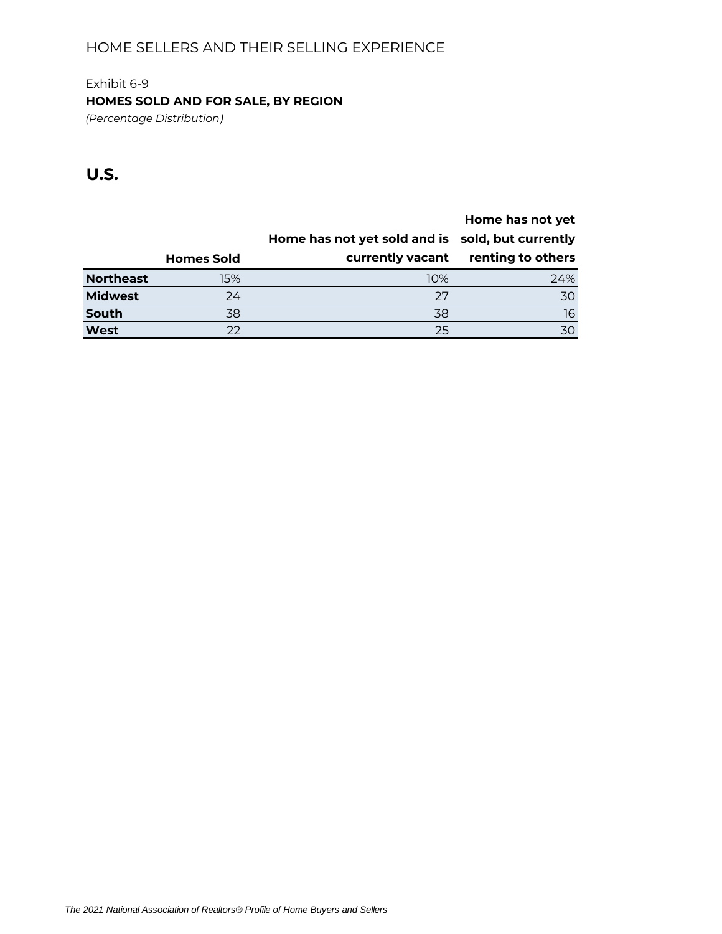# Exhibit 6-9 **HOMES SOLD AND FOR SALE, BY REGION**

*(Percentage Distribution)*

|                  |                   |                                                  | Home has not yet  |
|------------------|-------------------|--------------------------------------------------|-------------------|
|                  |                   | Home has not yet sold and is sold, but currently |                   |
|                  | <b>Homes Sold</b> | currently vacant                                 | renting to others |
| <b>Northeast</b> | 15%               | 10%                                              | 24%               |
| <b>Midwest</b>   | 24                | 27                                               | 30                |
| South            | 38                | 38                                               | 16                |
| West             | 22                | 25                                               | 30                |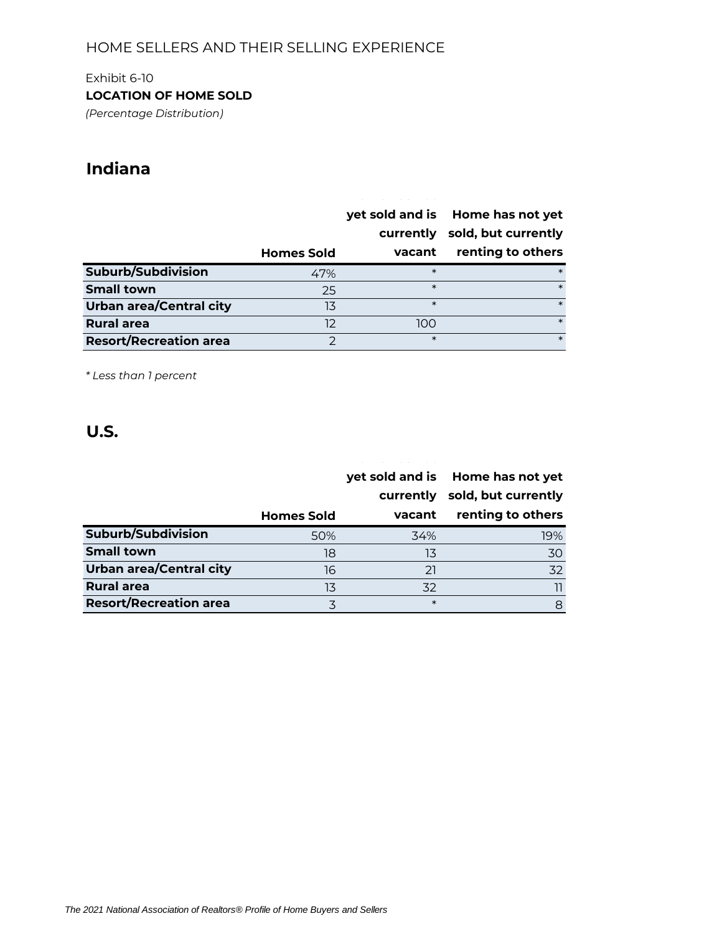## Exhibit 6-10

**LOCATION OF HOME SOLD**

*(Percentage Distribution)*

# **Indiana**

|                                | <b>Homes Sold</b> | yet sold and is<br>currently<br>vacant | Home has not yet<br>sold, but currently<br>renting to others |
|--------------------------------|-------------------|----------------------------------------|--------------------------------------------------------------|
| Suburb/Subdivision             | 47%               | $\ast$                                 | $\ast$                                                       |
| <b>Small town</b>              | 25                | $\ast$                                 | $\ast$                                                       |
| <b>Urban area/Central city</b> | 13                | $\ast$                                 | $\ast$                                                       |
| <b>Rural area</b>              | 12                | 100                                    | $\ast$                                                       |
| <b>Resort/Recreation area</b>  | フ                 | $\ast$                                 | $\ast$                                                       |

*\* Less than 1 percent*

|                                |                   |           | yet sold and is Home has not yet |
|--------------------------------|-------------------|-----------|----------------------------------|
|                                |                   | currently | sold, but currently              |
|                                | <b>Homes Sold</b> | vacant    | renting to others                |
| Suburb/Subdivision             | 50%               | 34%       | 19%                              |
| <b>Small town</b>              | 18                | 13        | 30                               |
| <b>Urban area/Central city</b> | 16                | 21        | 32                               |
| <b>Rural area</b>              | 13                | 32        |                                  |
| <b>Resort/Recreation area</b>  | 3                 | $\ast$    | 8                                |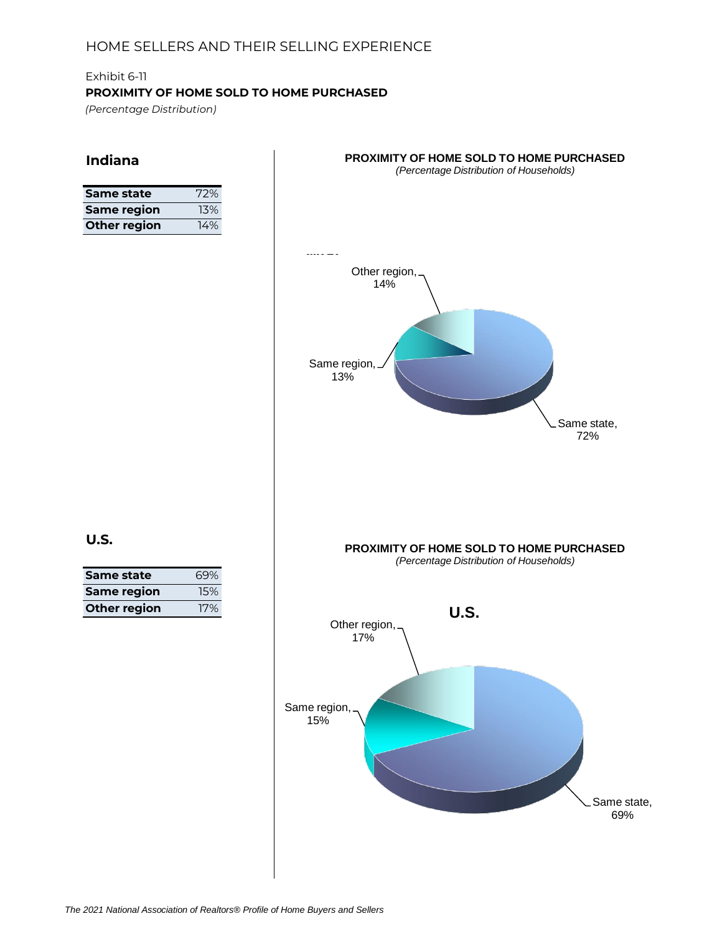## Exhibit 6-11 **PROXIMITY OF HOME SOLD TO HOME PURCHASED** *(Percentage Distribution)*

## **Indiana**

| Same state         | 72% |
|--------------------|-----|
| <b>Same region</b> | 13% |
| Other region       | 14% |



| Same state          | 69% |
|---------------------|-----|
| <b>Same region</b>  | 15% |
| <b>Other region</b> | 17% |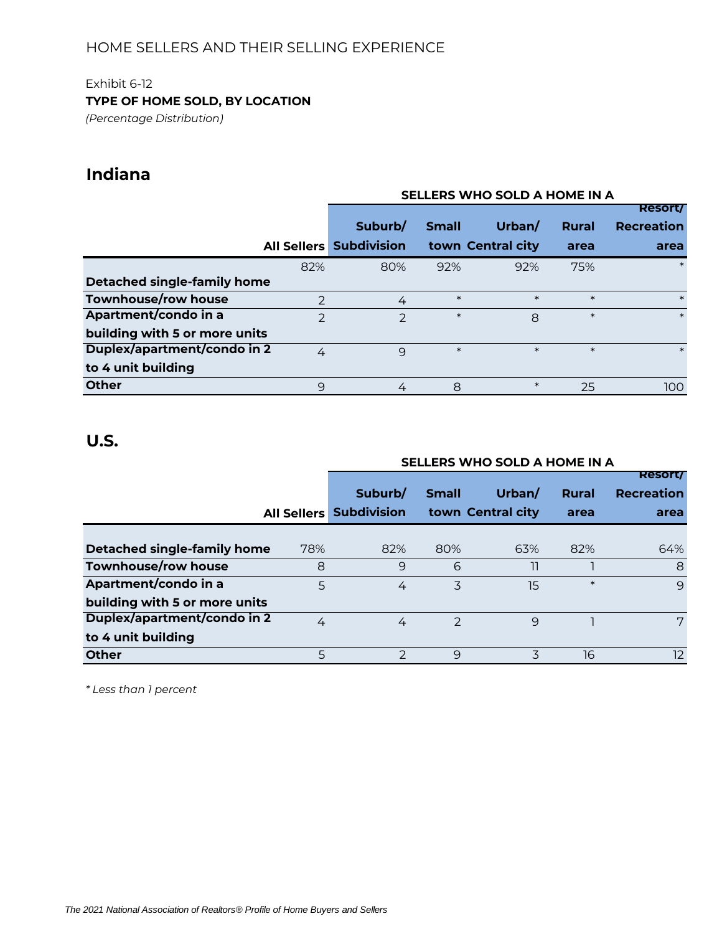## Exhibit 6-12 **TYPE OF HOME SOLD, BY LOCATION**

*(Percentage Distribution)*

# **Indiana**

|                               |                |                    |              | SELLERS WHO SOLD A HOME IN A |              |                   |
|-------------------------------|----------------|--------------------|--------------|------------------------------|--------------|-------------------|
|                               |                |                    |              |                              |              | <b>Resort/</b>    |
|                               |                | Suburb/            | <b>Small</b> | Urban/                       | <b>Rural</b> | <b>Recreation</b> |
| <b>All Sellers</b>            |                | <b>Subdivision</b> |              | town Central city            | area         | area              |
|                               | 82%            | 80%                | 92%          | 92%                          | 75%          | $\ast$            |
| Detached single-family home   |                |                    |              |                              |              |                   |
| <b>Townhouse/row house</b>    | $\overline{2}$ | 4                  | $\ast$       | $\ast$                       | $\ast$       | $\ast$            |
| Apartment/condo in a          | $\mathcal{P}$  | $\mathcal{P}$      | $\ast$       | 8                            | $\ast$       | $\ast$            |
| building with 5 or more units |                |                    |              |                              |              |                   |
| Duplex/apartment/condo in 2   | 4              | 9                  | $\ast$       | $\ast$                       | $\ast$       | $\ast$            |
| to 4 unit building            |                |                    |              |                              |              |                   |
| <b>Other</b>                  | 9              | 4                  | 8            | $\ast$                       | 25           | 100               |

# **U.S.**

|                               |                    |                    |               | SELLERS WHO SOLD A HOME IN A |        |                   |
|-------------------------------|--------------------|--------------------|---------------|------------------------------|--------|-------------------|
|                               |                    |                    |               |                              |        | <b>Resort/</b>    |
|                               |                    | Suburb/            | <b>Small</b>  | Urban/                       | Rural  | <b>Recreation</b> |
|                               | <b>All Sellers</b> | <b>Subdivision</b> |               | town Central city            | area   | area              |
|                               |                    |                    |               |                              |        |                   |
| Detached single-family home   | 78%                | 82%                | 80%           | 63%                          | 82%    | 64%               |
| Townhouse/row house           | 8                  | 9                  | 6             | 11                           |        | 8                 |
| Apartment/condo in a          | 5                  | 4                  | 3             | 15                           | $\ast$ | 9                 |
| building with 5 or more units |                    |                    |               |                              |        |                   |
| Duplex/apartment/condo in 2   | 4                  | 4                  | $\mathcal{P}$ | 9                            |        | $7\phantom{.0}$   |
| to 4 unit building            |                    |                    |               |                              |        |                   |
| <b>Other</b>                  | 5                  | $\mathcal{P}$      | 9             | 3                            | 16     | 12 <sup>2</sup>   |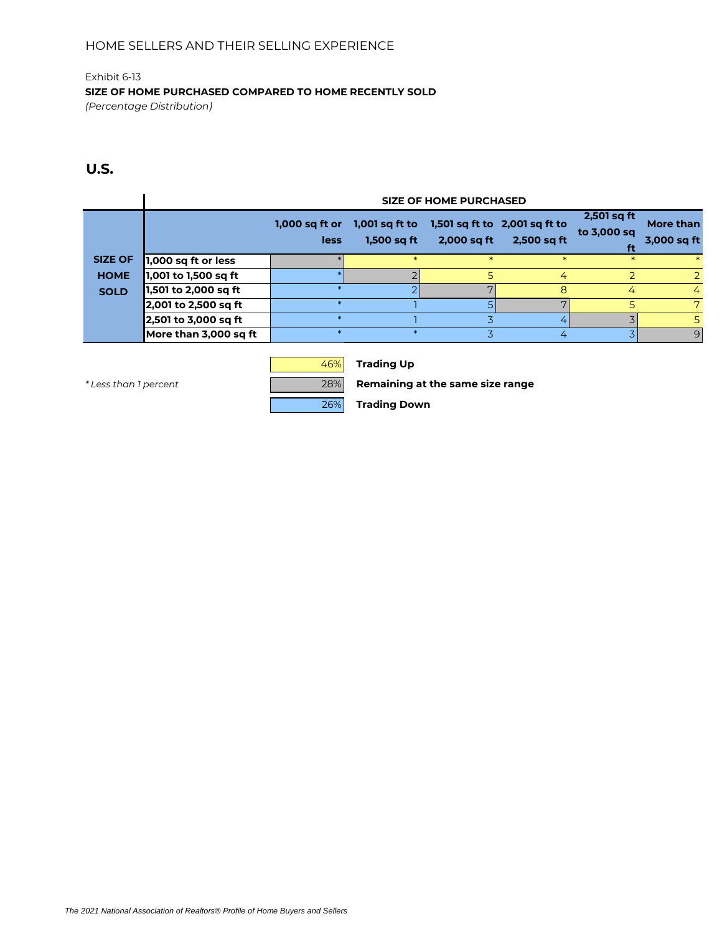Exhibit 6-13 **SIZE OF HOME PURCHASED COMPARED TO HOME RECENTLY SOLD** *(Percentage Distribution)*

## **U.S.**

|                |                       |                          |                                 | <b>SIZE OF HOME PURCHASED</b> |                                              |                                    |                          |
|----------------|-----------------------|--------------------------|---------------------------------|-------------------------------|----------------------------------------------|------------------------------------|--------------------------|
|                |                       | $1,000$ sq ft or<br>less | $1,001$ sq ft to<br>1,500 sq ft | 2,000 sq ft                   | 1,501 sq ft to 2,001 sq ft to<br>2,500 sq ft | $2,501$ sq ft<br>to 3,000 sq<br>ft | More than<br>3,000 sq ft |
| <b>SIZE OF</b> | 1,000 sq ft or less   |                          |                                 |                               |                                              | $\ast$                             |                          |
| <b>HOME</b>    | 1,001 to 1,500 sq ft  |                          |                                 |                               | 4                                            |                                    | $\overline{2}$           |
| <b>SOLD</b>    | 1,501 to 2,000 sq ft  |                          |                                 |                               | 8                                            | 4                                  | 4                        |
|                | 2,001 to 2,500 sq ft  |                          |                                 |                               | $\overline{ }$                               | 5                                  | 7                        |
|                | 2,501 to 3,000 sq ft  |                          |                                 |                               |                                              |                                    | 5.                       |
|                | More than 3,000 sq ft |                          |                                 |                               | 4                                            |                                    | 9                        |



46% **Trading Up**

*\* Less than 1 percent* 28% **Remaining at the same size range**

26% **Trading Down**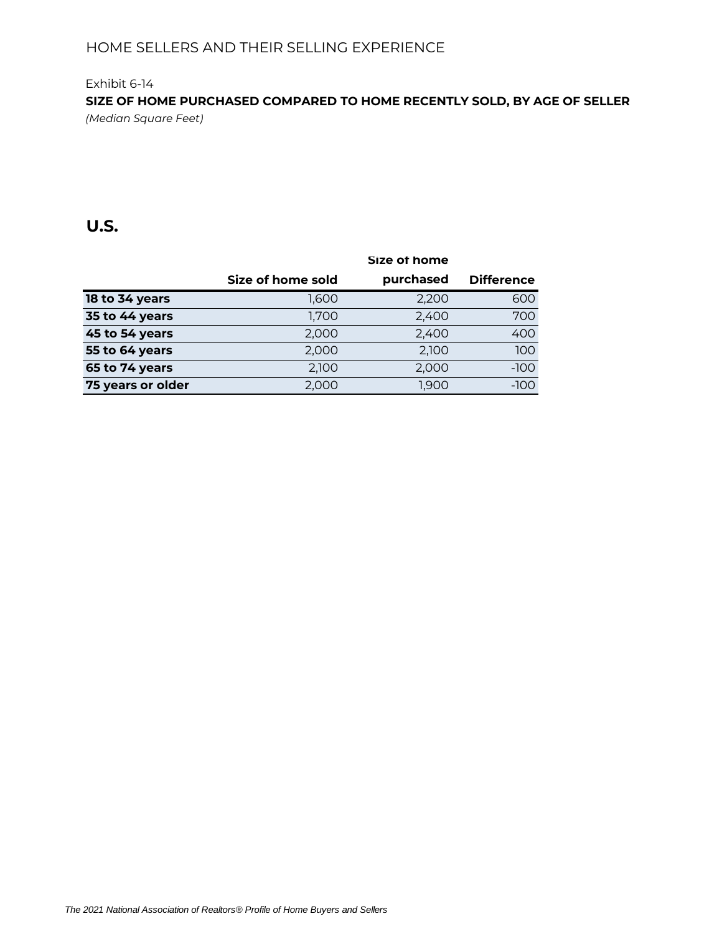## Exhibit 6-14 **SIZE OF HOME PURCHASED COMPARED TO HOME RECENTLY SOLD, BY AGE OF SELLER** *(Median Square Feet)*

|                   |                   | Size of home |                   |
|-------------------|-------------------|--------------|-------------------|
|                   | Size of home sold | purchased    | <b>Difference</b> |
| 18 to 34 years    | 1,600             | 2,200        | 600               |
| 35 to 44 years    | 1,700             | 2,400        | 700               |
| 45 to 54 years    | 2.000             | 2,400        | 400               |
| 55 to 64 years    | 2,000             | 2.100        | 100               |
| 65 to 74 years    | 2,100             | 2,000        | $-100$            |
| 75 years or older | 2,000             | 1,900        | $-100$            |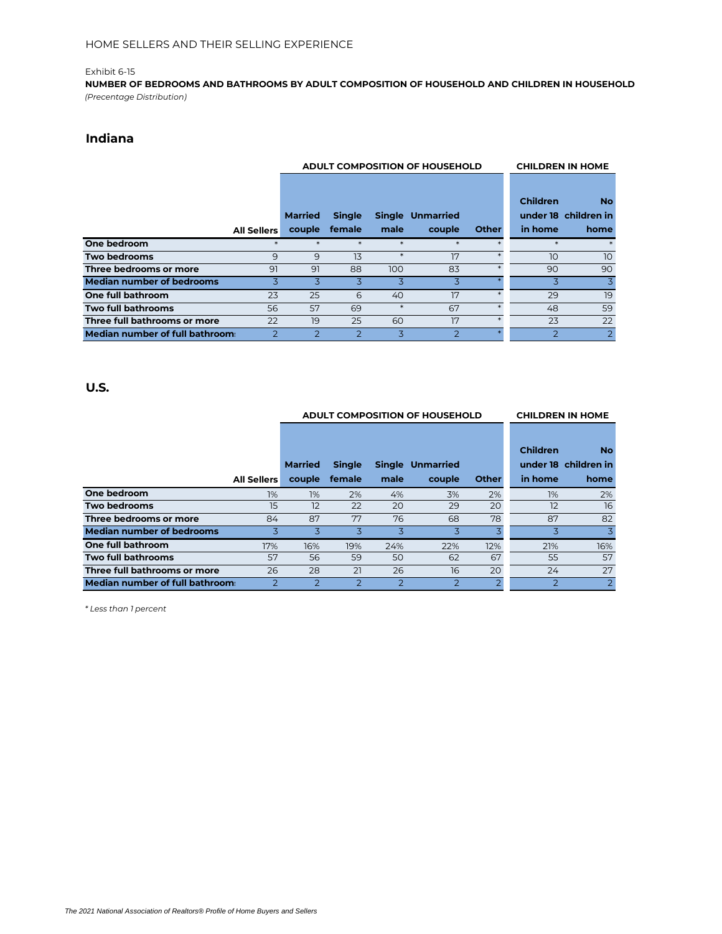**NUMBER OF BEDROOMS AND BATHROOMS BY ADULT COMPOSITION OF HOUSEHOLD AND CHILDREN IN HOUSEHOLD** *(Precentage Distribution)*

## **Indiana**

|                                  |                    |                | ADULT COMPOSITION OF HOUSEHOLD | <b>CHILDREN IN HOME</b> |                         |              |                 |                                   |
|----------------------------------|--------------------|----------------|--------------------------------|-------------------------|-------------------------|--------------|-----------------|-----------------------------------|
|                                  |                    | <b>Married</b> | <b>Single</b>                  |                         | <b>Single Unmarried</b> |              | <b>Children</b> | <b>No</b><br>under 18 children in |
|                                  | <b>All Sellers</b> | couple         | female                         | male                    | couple                  | <b>Other</b> | in home         | home                              |
| One bedroom                      |                    |                | $\ast$                         | $\ast$                  | $*$                     |              | $\ast$          | $\ast$                            |
| <b>Two bedrooms</b>              | 9                  | 9              | 13                             | $*$                     | 17                      | $*$          | 10              | 10                                |
| Three bedrooms or more           | 91                 | 91             | 88                             | 100                     | 83                      |              | 90              | 90                                |
| <b>Median number of bedrooms</b> | 3                  | 3              | 3                              | 3                       | 3                       |              | 3               | 3                                 |
| One full bathroom                | 23                 | 25             | 6                              | 40                      | 17                      |              | 29              | 19                                |
| <b>Two full bathrooms</b>        | 56                 | 57             | 69                             | $*$                     | 67                      | $\ast$       | 48              | 59                                |
| Three full bathrooms or more     | 22                 | 19             | 25                             | 60                      | 17                      | $*$          | 23              | 22                                |
| Median number of full bathroom:  | $\mathcal{P}$      | 2              | $\overline{2}$                 | 3                       | 2                       |              | っ               | $\overline{2}$                    |

### **U.S.**

|                                  |                    |                | <b>ADULT COMPOSITION OF HOUSEHOLD</b> | <b>CHILDREN IN HOME</b> |                         |                |               |                                   |
|----------------------------------|--------------------|----------------|---------------------------------------|-------------------------|-------------------------|----------------|---------------|-----------------------------------|
|                                  |                    | <b>Married</b> | <b>Single</b>                         |                         | <b>Single Unmarried</b> |                | Children      | <b>No</b><br>under 18 children in |
|                                  | <b>All Sellers</b> | couple         | female                                | male                    | couple                  | <b>Other</b>   | in home       | home                              |
| One bedroom                      | 1%                 | 1%             | 2%                                    | 4%                      | 3%                      | 2%             | 1%            | 2%                                |
| <b>Two bedrooms</b>              | 15                 | 12             | 22                                    | 20                      | 29                      | 20             | 12            | 16                                |
| Three bedrooms or more           | 84                 | 87             | 77                                    | 76                      | 68                      | 78             | 87            | 82                                |
| <b>Median number of bedrooms</b> | 3                  | 3              | 3                                     | 3                       | 3                       | $\overline{3}$ | 3             | 3                                 |
| One full bathroom                | 17%                | 16%            | 19%                                   | 24%                     | 22%                     | 12%            | 21%           | 16%                               |
| Two full bathrooms               | 57                 | 56             | 59                                    | 50                      | 62                      | 67             | 55            | 57                                |
| Three full bathrooms or more     | 26                 | 28             | 21                                    | 26                      | 16                      | 20             | 24            | 27                                |
| Median number of full bathroom:  | $\mathcal{P}$      | $\mathcal{P}$  | $\overline{2}$                        | $\mathcal{P}$           | $\overline{2}$          | $\overline{2}$ | $\mathcal{P}$ | 2                                 |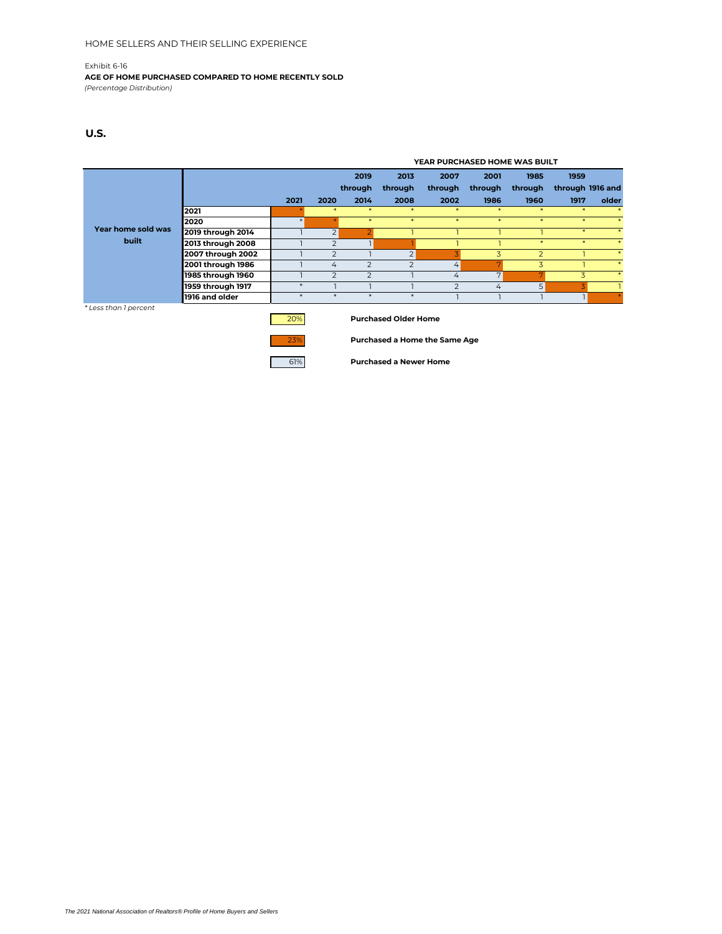**AGE OF HOME PURCHASED COMPARED TO HOME RECENTLY SOLD**

*(Percentage Distribution)*

### **U.S.**

|                    |                   |      |                          |               | YEAR PURCHASED HOME WAS BUILT |               |                |                |                  |        |  |
|--------------------|-------------------|------|--------------------------|---------------|-------------------------------|---------------|----------------|----------------|------------------|--------|--|
|                    |                   |      |                          | 2019          | 2013                          | 2007          | 2001           | 1985           | 1959             |        |  |
|                    |                   |      |                          | through       | through                       | through       | through        | through        | through 1916 and |        |  |
|                    |                   | 2021 | 2020                     | 2014          | 2008                          | 2002          | 1986           | 1960           | 1917             | older  |  |
|                    | 2021              |      |                          |               |                               |               |                |                |                  |        |  |
|                    | 2020              |      |                          | $\ast$        | $\ast$                        | $\ast$        | $\ast$         | 未              | $\ast$           |        |  |
| Year home sold was | 2019 through 2014 |      | $\overline{2}$           |               |                               |               |                |                |                  |        |  |
| built              | 2013 through 2008 |      | $\mathcal{P}$            |               |                               |               |                | $\star$        | $\ast$           | $\ast$ |  |
|                    | 2007 through 2002 |      | $\overline{\phantom{0}}$ |               | $\overline{2}$                |               | 3              | $\overline{2}$ |                  | $\ast$ |  |
|                    | 2001 through 1986 |      | 4                        | $\mathcal{P}$ | $\mathcal{P}$                 | 4             |                | 3              |                  | $\ast$ |  |
|                    | 1985 through 1960 |      | $\overline{\phantom{0}}$ | っ             |                               | 4             | $\overline{ }$ |                |                  |        |  |
|                    | 1959 through 1917 | ∗    |                          |               |                               | $\mathcal{P}$ | 4              | 5              |                  |        |  |
|                    | 1916 and older    |      |                          |               |                               |               |                |                |                  |        |  |

*\* Less than 1 percent*

20% **Purchased Older Home**



23% **Purchased a Home the Same Age**

61% **Purchased a Newer Home**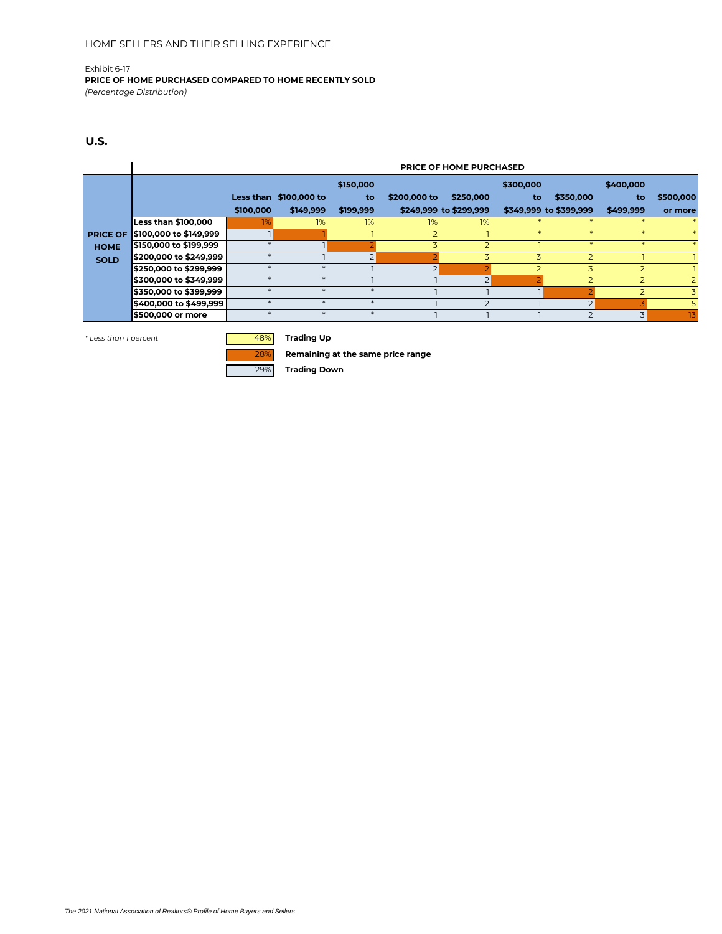**PRICE OF HOME PURCHASED COMPARED TO HOME RECENTLY SOLD** *(Percentage Distribution)*

### **U.S.**

|                 |                            | <b>PRICE OF HOME PURCHASED</b> |                        |                |                |                        |              |                          |                |           |  |  |  |  |
|-----------------|----------------------------|--------------------------------|------------------------|----------------|----------------|------------------------|--------------|--------------------------|----------------|-----------|--|--|--|--|
|                 |                            |                                |                        | \$150,000      |                |                        | \$300,000    |                          | \$400,000      |           |  |  |  |  |
|                 |                            |                                | Less than \$100,000 to | to             | \$200,000 to   | \$250,000              | to           | \$350,000                | to             | \$500,000 |  |  |  |  |
|                 |                            | \$100,000                      | \$149,999              | \$199,999      |                | \$249,999 to \$299,999 |              | \$349,999 to \$399,999   | \$499,999      | or more   |  |  |  |  |
|                 | <b>Less than \$100,000</b> | 1%                             | 1%                     | 1%             | 1%             | 1%                     |              |                          |                |           |  |  |  |  |
| <b>PRICE OF</b> | \$100,000 to \$149,999     |                                |                        |                | $\overline{2}$ |                        | $\mathbf{r}$ | $\star$                  |                |           |  |  |  |  |
| <b>HOME</b>     | \$150,000 to \$199,999     |                                |                        |                | 3              |                        |              | $\star$                  |                |           |  |  |  |  |
| <b>SOLD</b>     | \$200,000 to \$249,999     | $\ast$                         |                        | $\overline{2}$ |                |                        | 3            | $\overline{z}$           |                |           |  |  |  |  |
|                 | \$250,000 to \$299,999     |                                |                        |                | $\overline{2}$ |                        |              | 3                        |                |           |  |  |  |  |
|                 | \$300,000 to \$349,999     |                                |                        |                |                |                        |              |                          | $\overline{2}$ |           |  |  |  |  |
|                 | \$350,000 to \$399,999     |                                |                        |                |                |                        |              |                          |                | 3         |  |  |  |  |
|                 | \$400,000 to \$499,999     |                                |                        |                |                |                        |              | $\bigcap$                |                | 5         |  |  |  |  |
|                 | \$500,000 or more          |                                |                        |                |                |                        |              | $\overline{\phantom{0}}$ | 3              | 13        |  |  |  |  |

*\* Less than 1 percent* 48% **Trading Up**

28% **Remaining at the same price range**

29% **Trading Down**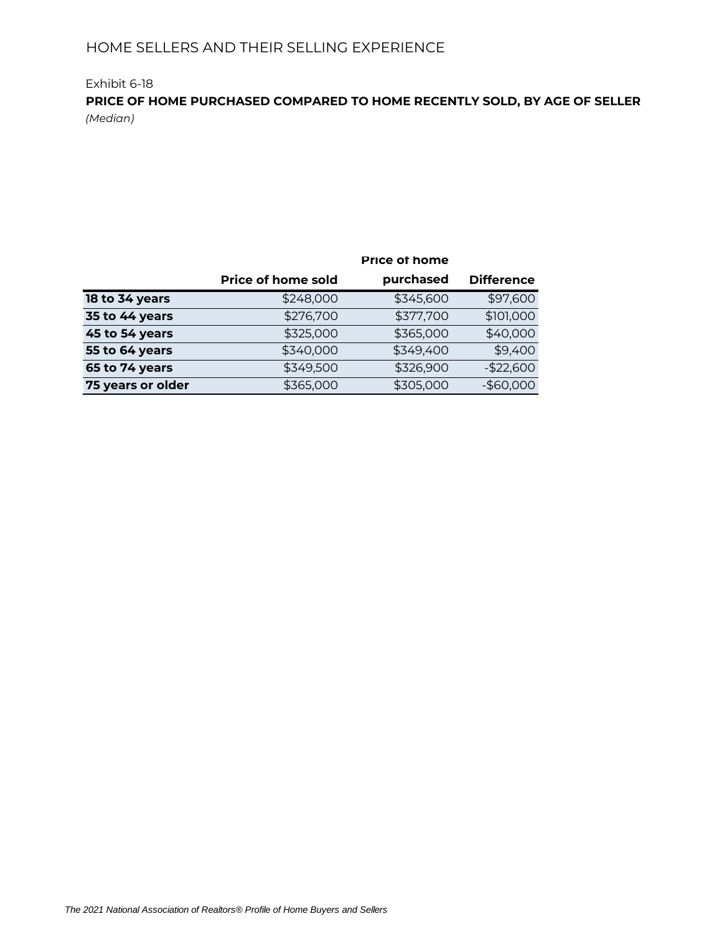## Exhibit 6-18 **PRICE OF HOME PURCHASED COMPARED TO HOME RECENTLY SOLD, BY AGE OF SELLER** *(Median)*

|                   |                           | <b>Price of home</b> |                   |
|-------------------|---------------------------|----------------------|-------------------|
|                   | <b>Price of home sold</b> | purchased            | <b>Difference</b> |
| 18 to 34 years    | \$248,000                 | \$345,600            | \$97,600          |
| 35 to 44 years    | \$276,700                 | \$377,700            | \$101,000         |
| 45 to 54 years    | \$325,000                 | \$365,000            | \$40,000          |
| 55 to 64 years    | \$340,000                 | \$349,400            | \$9,400           |
| 65 to 74 years    | \$349,500                 | \$326,900            | $-$ \$22,600      |
| 75 years or older | \$365,000                 | \$305,000            | $-$60,000$        |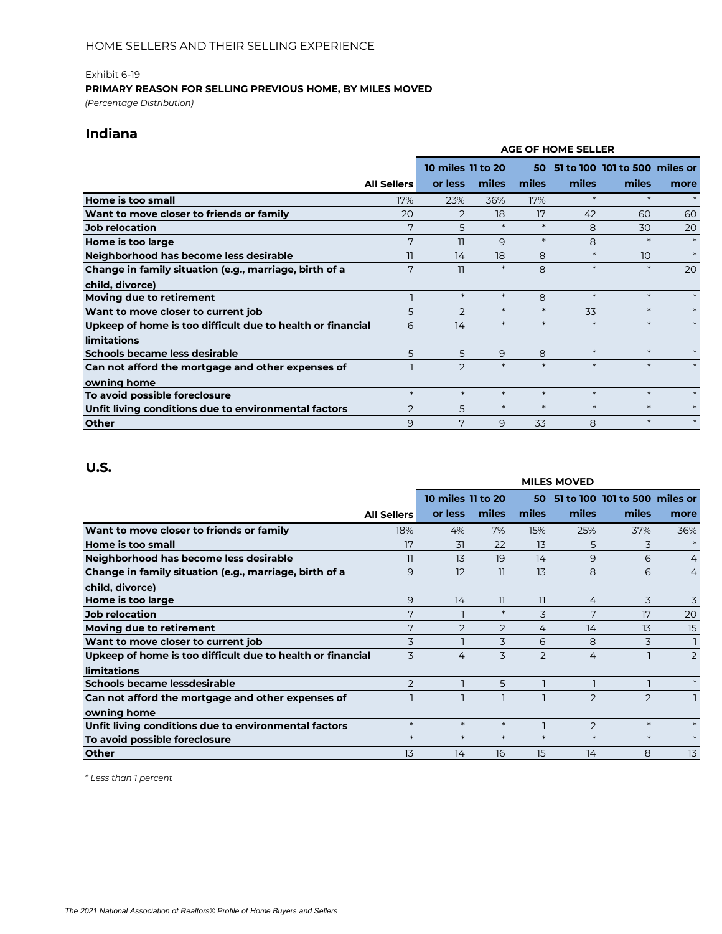### **PRIMARY REASON FOR SELLING PREVIOUS HOME, BY MILES MOVED**

*(Percentage Distribution)*

## **Indiana**

|                                                            |                    | <b>AGE OF HOME SELLER</b><br>10 miles 11 to 20<br>51 to 100 101 to 500 miles or<br>50<br>miles<br>miles<br>miles<br>miles<br>or less<br>$\ast$<br>$\ast$<br>17%<br>23%<br>36%<br>18<br>17<br>2<br>42<br>60<br>$\ast$<br>$\ast$<br>5<br>8<br>30<br>$\ast$<br>$\ast$<br>8<br>9<br>11<br>$\ast$<br>8<br>14<br>18<br>10<br>$\ast$<br>$\ast$<br>8<br>$\ast$<br>11 |        |        |        |        |        |  |
|------------------------------------------------------------|--------------------|--------------------------------------------------------------------------------------------------------------------------------------------------------------------------------------------------------------------------------------------------------------------------------------------------------------------------------------------------------------|--------|--------|--------|--------|--------|--|
|                                                            |                    |                                                                                                                                                                                                                                                                                                                                                              |        |        |        |        |        |  |
|                                                            | <b>All Sellers</b> |                                                                                                                                                                                                                                                                                                                                                              |        |        |        |        | more   |  |
| Home is too small                                          | 17%                |                                                                                                                                                                                                                                                                                                                                                              |        |        |        |        |        |  |
| Want to move closer to friends or family                   | 20                 |                                                                                                                                                                                                                                                                                                                                                              |        |        |        |        | 60     |  |
| <b>Job relocation</b>                                      | 7                  |                                                                                                                                                                                                                                                                                                                                                              |        |        |        |        | 20     |  |
| Home is too large                                          | 7                  |                                                                                                                                                                                                                                                                                                                                                              |        |        |        |        | $\ast$ |  |
| Neighborhood has become less desirable                     | 11                 |                                                                                                                                                                                                                                                                                                                                                              |        |        |        |        | $\ast$ |  |
| Change in family situation (e.g., marriage, birth of a     | 7                  |                                                                                                                                                                                                                                                                                                                                                              |        |        |        |        | 20     |  |
| child, divorce)                                            |                    |                                                                                                                                                                                                                                                                                                                                                              |        |        |        |        |        |  |
| Moving due to retirement                                   |                    | $\ast$                                                                                                                                                                                                                                                                                                                                                       | $\ast$ | 8      | $\ast$ | $\ast$ | $\ast$ |  |
| Want to move closer to current job                         | 5                  | $\overline{2}$                                                                                                                                                                                                                                                                                                                                               | $\ast$ | $\ast$ | 33     | $\ast$ |        |  |
| Upkeep of home is too difficult due to health or financial | 6                  | 14                                                                                                                                                                                                                                                                                                                                                           | $\ast$ | $\ast$ | $\ast$ | $\ast$ |        |  |
| limitations                                                |                    |                                                                                                                                                                                                                                                                                                                                                              |        |        |        |        |        |  |
| Schools became less desirable                              | 5                  | 5                                                                                                                                                                                                                                                                                                                                                            | 9      | 8      | $\ast$ | $\ast$ | $\ast$ |  |
| Can not afford the mortgage and other expenses of          |                    | $\mathcal{P}$                                                                                                                                                                                                                                                                                                                                                | $\ast$ | $\ast$ | $\ast$ | $\ast$ |        |  |
| owning home                                                |                    |                                                                                                                                                                                                                                                                                                                                                              |        |        |        |        |        |  |
| To avoid possible foreclosure                              | $\ast$             | $\ast$                                                                                                                                                                                                                                                                                                                                                       | $\ast$ | $\ast$ | $\ast$ | $\ast$ | $\ast$ |  |
| Unfit living conditions due to environmental factors       | 2                  | 5                                                                                                                                                                                                                                                                                                                                                            | $\ast$ | $\ast$ | $\ast$ | $\ast$ | $\ast$ |  |
| <b>Other</b>                                               | 9                  | 7                                                                                                                                                                                                                                                                                                                                                            | 9      | 33     | 8      | $\ast$ | $\ast$ |  |

## **U.S.**

|                                                            |                    |                   |        |        | <b>MILES MOVED</b> |                               |                |
|------------------------------------------------------------|--------------------|-------------------|--------|--------|--------------------|-------------------------------|----------------|
|                                                            |                    | 10 miles 11 to 20 |        | 50     |                    | 51 to 100 101 to 500 miles or |                |
|                                                            | <b>All Sellers</b> | or less           | miles  | miles  | miles              | miles                         | more           |
| Want to move closer to friends or family                   | 18%                | 4%                | 7%     | 15%    | 25%                | 37%                           | 36%            |
| Home is too small                                          | 17                 | 31                | 22     | 13     | 5                  | 3                             | $\ast$         |
| Neighborhood has become less desirable                     | 11                 | 13                | 19     | 14     | 9                  | 6                             | 4              |
| Change in family situation (e.g., marriage, birth of a     | 9                  | 12                | 11     | 13     | 8                  | 6                             | 4              |
| child, divorce)                                            |                    |                   |        |        |                    |                               |                |
| Home is too large                                          | 9                  | 14                | 11     | 11     | 4                  | 3                             | 3              |
| Job relocation                                             | 7                  |                   | $\ast$ | 3      | 7                  | 17                            | 20             |
| Moving due to retirement                                   | 7                  | $\overline{2}$    | 2      | 4      | 14                 | 13                            | 15             |
| Want to move closer to current job                         | 3                  |                   | 3      | 6      | 8                  | 3                             |                |
| Upkeep of home is too difficult due to health or financial | 3                  | 4                 | 3      | 2      | 4                  |                               | $\overline{2}$ |
| limitations                                                |                    |                   |        |        |                    |                               |                |
| Schools became lessdesirable                               | $\overline{2}$     |                   | 5      |        |                    |                               | $\ast$         |
| Can not afford the mortgage and other expenses of          |                    |                   |        |        | $\overline{2}$     | $\overline{2}$                |                |
| owning home                                                |                    |                   |        |        |                    |                               |                |
| Unfit living conditions due to environmental factors       | $\ast$             | $\ast$            | $\ast$ |        | 2                  | $\ast$                        |                |
| To avoid possible foreclosure                              | $\ast$             | $\ast$            | $\ast$ | $\ast$ | $\ast$             | $\ast$                        | $\ast$         |
| <b>Other</b>                                               | 13                 | 14                | 16     | 15     | 14                 | 8                             | 13             |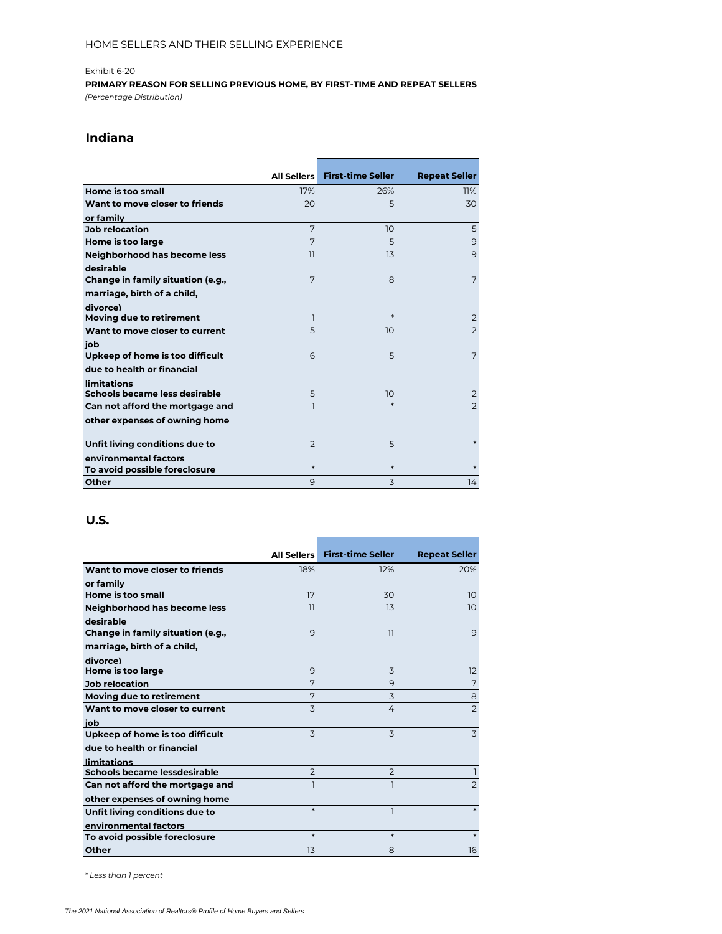**PRIMARY REASON FOR SELLING PREVIOUS HOME, BY FIRST-TIME AND REPEAT SELLERS** *(Percentage Distribution)*

## **Indiana**

|                                   |                | All Sellers First-time Seller | <b>Repeat Seller</b> |
|-----------------------------------|----------------|-------------------------------|----------------------|
| Home is too small                 | 17%            | 26%                           | 11%                  |
| Want to move closer to friends    | 20             | 5                             | 30                   |
| or family                         |                |                               |                      |
| <b>Job relocation</b>             | 7              | 10                            | 5                    |
| Home is too large                 | 7              | 5                             | 9                    |
| Neighborhood has become less      | 11             | 13                            | 9                    |
| desirable                         |                |                               |                      |
| Change in family situation (e.g., | 7              | 8                             | 7                    |
| marriage, birth of a child,       |                |                               |                      |
| divorce)                          |                |                               |                      |
| Moving due to retirement          | ı              | $\ast$                        | $\overline{2}$       |
| Want to move closer to current    | 5              | 10                            | $\overline{2}$       |
| iob                               |                |                               |                      |
| Upkeep of home is too difficult   | 6              | 5                             | 7                    |
| due to health or financial        |                |                               |                      |
| <b>limitations</b>                |                |                               |                      |
| Schools became less desirable     | 5              | 10                            | $\overline{2}$       |
| Can not afford the mortgage and   |                | $\ast$                        | $\overline{2}$       |
| other expenses of owning home     |                |                               |                      |
| Unfit living conditions due to    | $\overline{2}$ | 5                             |                      |
| environmental factors             | $\ast$         | $\ast$                        | $\ast$               |
| To avoid possible foreclosure     |                |                               |                      |
| Other                             | 9              | 3                             | 14                   |

### **U.S.**

|                                   |                | All Sellers First-time Seller | <b>Repeat Seller</b> |
|-----------------------------------|----------------|-------------------------------|----------------------|
| Want to move closer to friends    | 18%            | 12%                           | 20%                  |
| or family                         |                |                               |                      |
| Home is too small                 | 17             | 30                            | 10 <sup>°</sup>      |
| Neighborhood has become less      | 11             | 13                            | 10                   |
| desirable                         |                |                               |                      |
| Change in family situation (e.g., | 9              | 11                            | 9                    |
| marriage, birth of a child,       |                |                               |                      |
| divorce)                          |                |                               |                      |
| Home is too large                 | 9              | 3                             | 12                   |
| Job relocation                    | 7              | 9                             | 7                    |
| Moving due to retirement          | 7              | 3                             | 8                    |
| Want to move closer to current    | 3              | 4                             | $\overline{2}$       |
| iob                               |                |                               |                      |
| Upkeep of home is too difficult   | 3              | 3                             | 3                    |
| due to health or financial        |                |                               |                      |
| <b>limitations</b>                |                |                               |                      |
| Schools became lessdesirable      | $\overline{2}$ | $\overline{2}$                |                      |
| Can not afford the mortgage and   |                | $\overline{\phantom{a}}$      | $\overline{2}$       |
| other expenses of owning home     |                |                               |                      |
| Unfit living conditions due to    | $\ast$         | ٦                             | $\ast$               |
| environmental factors             |                |                               |                      |
| To avoid possible foreclosure     | $\ast$         | $\ast$                        | $\ast$               |
| Other                             | 13             | 8                             | 16                   |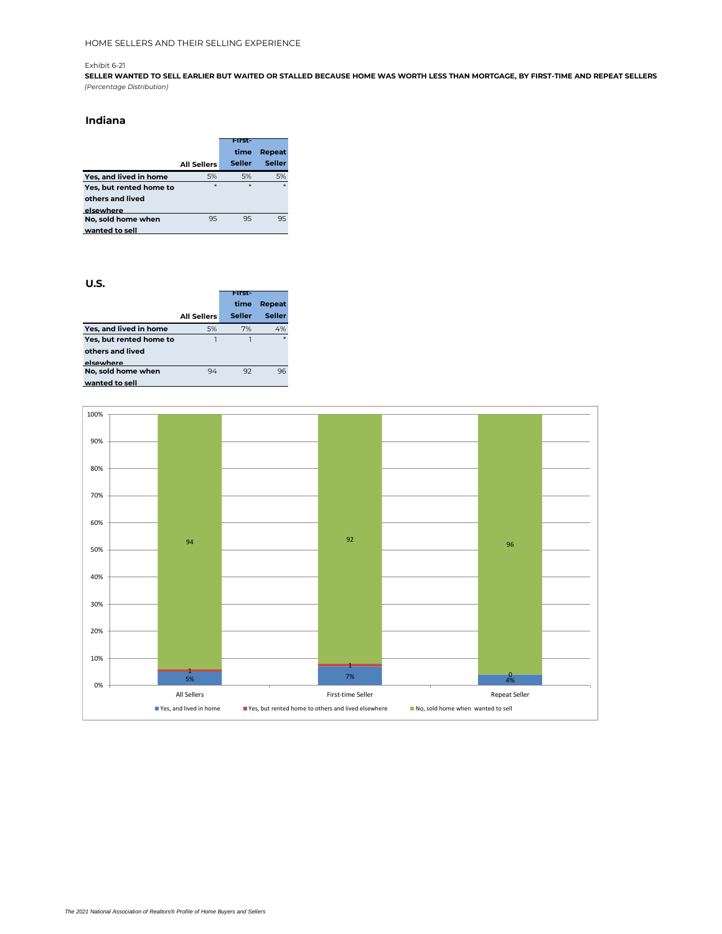**SELLER WANTED TO SELL EARLIER BUT WAITED OR STALLED BECAUSE HOME WAS WORTH LESS THAN MORTGAGE, BY FIRST-TIME AND REPEAT SELLERS** *(Percentage Distribution)*

#### **Indiana**

|                         |                    | anse          |               |
|-------------------------|--------------------|---------------|---------------|
|                         |                    | time          | Repeat        |
|                         | <b>All Sellers</b> | <b>Seller</b> | <b>Seller</b> |
| Yes, and lived in home  | 5%                 | 5%            | 5%            |
| Yes, but rented home to | $\ast$             | $\ast$        | $*$           |
| others and lived        |                    |               |               |
| elsewhere               |                    |               |               |
| No, sold home when      | 95                 | 95            | 95            |
| wanted to sell          |                    |               |               |

|                         |                    | First- |        |
|-------------------------|--------------------|--------|--------|
|                         |                    | time   | Repeat |
|                         | <b>All Sellers</b> | Seller | Seller |
| Yes, and lived in home  | 5%                 | 7%     | 4%     |
| Yes, but rented home to |                    |        | ×      |
| others and lived        |                    |        |        |
| elsewhere               |                    |        |        |
| No, sold home when      | 94                 | 92     | 96     |
| wanted to sell          |                    |        |        |

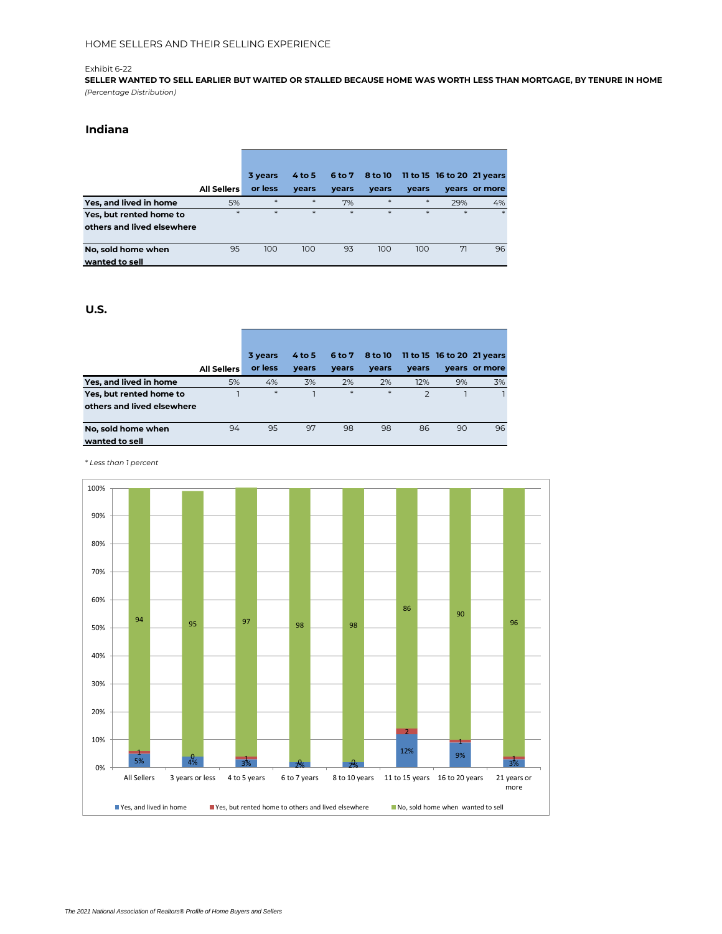**SELLER WANTED TO SELL EARLIER BUT WAITED OR STALLED BECAUSE HOME WAS WORTH LESS THAN MORTGAGE, BY TENURE IN HOME** *(Percentage Distribution)*

### **Indiana**

|                            |                    | 3 years | $4$ to 5 | 6 to 7 | 8 to 10 |       | 11 to 15 16 to 20 21 years |               |
|----------------------------|--------------------|---------|----------|--------|---------|-------|----------------------------|---------------|
|                            | <b>All Sellers</b> | or less | years    | years  | years   | years |                            | years or more |
| Yes, and lived in home     | 5%                 | $*$     | $*$      | 7%     | $*$     | $*$   | 29%                        | 4%            |
| Yes, but rented home to    | $*$                | $\ast$  | $*$      | $*$    | $\ast$  | $*$   | $*$                        | $*$           |
| others and lived elsewhere |                    |         |          |        |         |       |                            |               |
| No, sold home when         | 95                 | 100     | 100      | 93     | 100     | 100   | 71                         | 96            |
| wanted to sell             |                    |         |          |        |         |       |                            |               |

#### **U.S.**

|                            |                    | 3 years | $4$ to 5 | 6 to 7 | 8 to 10 |                | 11 to 15 16 to 20 21 years |               |
|----------------------------|--------------------|---------|----------|--------|---------|----------------|----------------------------|---------------|
|                            | <b>All Sellers</b> | or less | years    | vears  | vears   | vears          |                            | vears or more |
| Yes, and lived in home     | 5%                 | 4%      | 3%       | 2%     | 2%      | 12%            | 9%                         | 3%            |
| Yes, but rented home to    |                    | $*$     |          | $*$    | $*$     | $\overline{2}$ |                            |               |
| others and lived elsewhere |                    |         |          |        |         |                |                            |               |
|                            |                    |         |          |        |         |                |                            |               |
| No, sold home when         | 94                 | 95      | 97       | 98     | 98      | 86             | 90                         | 96            |
| wanted to sell             |                    |         |          |        |         |                |                            |               |

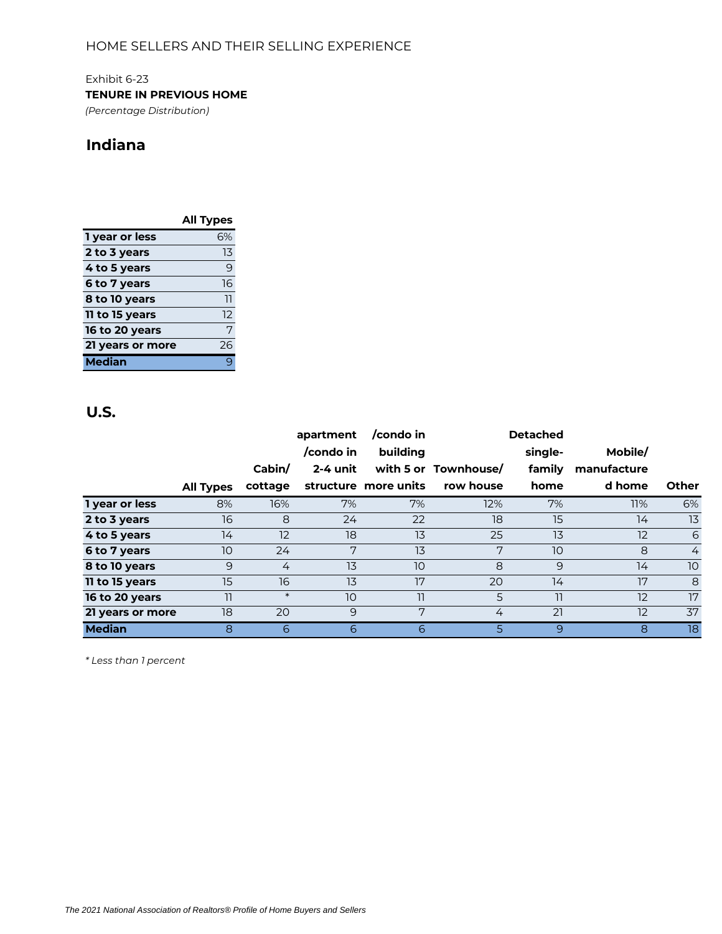Exhibit 6-23 **TENURE IN PREVIOUS HOME** *(Percentage Distribution)*

# **Indiana**

|                  | <b>All Types</b> |
|------------------|------------------|
| 1 year or less   | 6%               |
| 2 to 3 years     | 13               |
| 4 to 5 years     | 9                |
| 6 to 7 years     | 16               |
| 8 to 10 years    | 11               |
| 11 to 15 years   | 12               |
| 16 to 20 years   | 7                |
| 21 years or more | 26               |
| <b>Median</b>    |                  |

## **U.S.**

|                  |                  |         | apartment<br>/condo in | /condo in<br>building |                      | <b>Detached</b><br>single- | Mobile/     |                |
|------------------|------------------|---------|------------------------|-----------------------|----------------------|----------------------------|-------------|----------------|
|                  |                  | Cabin/  | 2-4 unit               |                       | with 5 or Townhouse/ | family                     | manufacture |                |
|                  | <b>All Types</b> | cottage |                        | structure more units  | row house            | home                       | d home      | <b>Other</b>   |
| 1 year or less   | 8%               | 16%     | 7%                     | 7%                    | 12%                  | 7%                         | 11%         | 6%             |
| 2 to 3 years     | 16               | 8       | 24                     | 22                    | 18                   | 15                         | 14          | 13             |
| 4 to 5 years     | 14               | 12      | 18                     | 13                    | 25                   | 13                         | 12          | 6              |
| 6 to 7 years     | 10               | 24      | 7                      | 13                    | 7                    | 10                         | 8           | $\overline{4}$ |
| 8 to 10 years    | 9                | 4       | 13                     | 10                    | 8                    | 9                          | 14          | 10             |
| 11 to 15 years   | 15               | 16      | 13                     | 17                    | 20                   | 14                         | 17          | 8              |
| 16 to 20 years   | 11               | $\ast$  | 10                     | 11                    | 5                    | 11                         | 12          | 17             |
| 21 years or more | 18               | 20      | 9                      | 7                     | 4                    | 21                         | 12          | 37             |
| <b>Median</b>    | 8                | 6       | 6                      | 6                     | 5.                   | 9                          | 8           | 18             |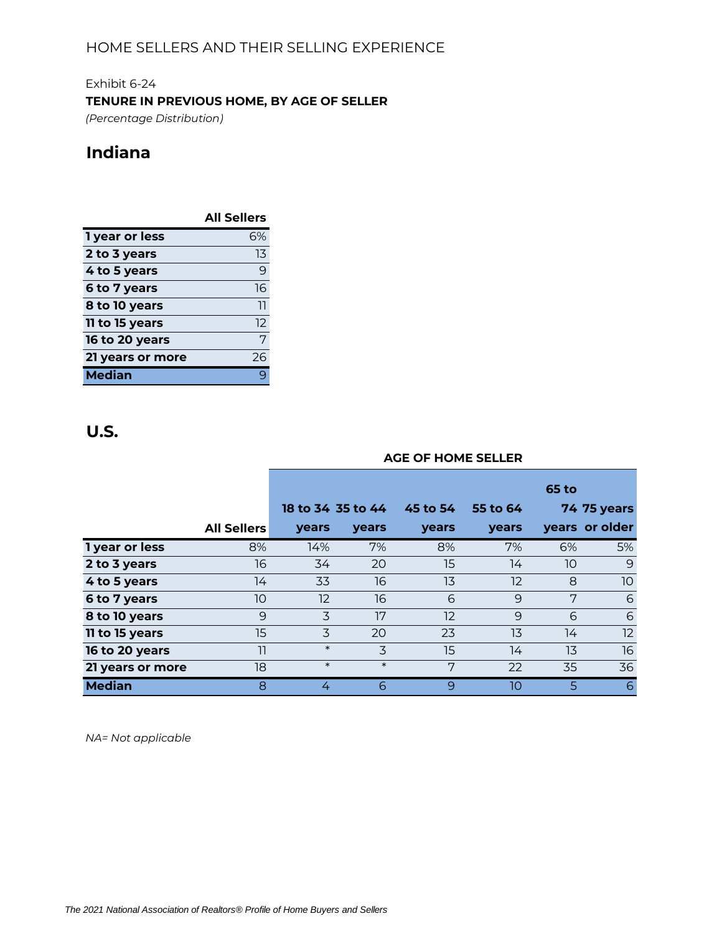Exhibit 6-24 **TENURE IN PREVIOUS HOME, BY AGE OF SELLER**

*(Percentage Distribution)*

# **Indiana**

|                  | <b>All Sellers</b> |
|------------------|--------------------|
| 1 year or less   | 6%                 |
| 2 to 3 years     | 13                 |
| 4 to 5 years     | 9                  |
| 6 to 7 years     | 16                 |
| 8 to 10 years    | 11                 |
| 11 to 15 years   | 12                 |
| 16 to 20 years   | 7                  |
| 21 years or more | 26                 |
| Median           |                    |

# **U.S.**

|                  | <b>AGE OF HOME SELLER</b><br><b>65 to</b><br>18 to 34 35 to 44<br>45 to 54<br>55 to 64<br>years or older<br><b>All Sellers</b><br>years<br>years<br>years<br>years<br>8%<br>7%<br>6%<br>14%<br>8%<br>7%<br>16<br>15<br>10<br>34<br>20<br>14<br>16<br>8<br>13<br>$12 \overline{ }$<br>14<br>33<br>7<br>16<br>10<br>$12 \overline{)}$<br>6<br>9<br>3<br>17<br>12<br>9<br>6<br>9<br>3<br>15<br>20<br>13<br>14<br>23<br>$\ast$<br>3<br>15<br>11<br>14<br>13 |        |        |   |    |    |                    |  |  |  |  |  |
|------------------|---------------------------------------------------------------------------------------------------------------------------------------------------------------------------------------------------------------------------------------------------------------------------------------------------------------------------------------------------------------------------------------------------------------------------------------------------------|--------|--------|---|----|----|--------------------|--|--|--|--|--|
|                  |                                                                                                                                                                                                                                                                                                                                                                                                                                                         |        |        |   |    |    |                    |  |  |  |  |  |
|                  |                                                                                                                                                                                                                                                                                                                                                                                                                                                         |        |        |   |    |    | <b>74 75 years</b> |  |  |  |  |  |
|                  |                                                                                                                                                                                                                                                                                                                                                                                                                                                         |        |        |   |    |    |                    |  |  |  |  |  |
| I year or less   |                                                                                                                                                                                                                                                                                                                                                                                                                                                         |        |        |   |    |    | 5%                 |  |  |  |  |  |
| 2 to 3 years     |                                                                                                                                                                                                                                                                                                                                                                                                                                                         |        |        |   |    |    | 9                  |  |  |  |  |  |
| 4 to 5 years     |                                                                                                                                                                                                                                                                                                                                                                                                                                                         |        |        |   |    |    | 10                 |  |  |  |  |  |
| 6 to 7 years     |                                                                                                                                                                                                                                                                                                                                                                                                                                                         |        |        |   |    |    | 6                  |  |  |  |  |  |
| 8 to 10 years    |                                                                                                                                                                                                                                                                                                                                                                                                                                                         |        |        |   |    |    | 6                  |  |  |  |  |  |
| 11 to 15 years   |                                                                                                                                                                                                                                                                                                                                                                                                                                                         |        |        |   |    |    | 12                 |  |  |  |  |  |
| 16 to 20 years   |                                                                                                                                                                                                                                                                                                                                                                                                                                                         |        |        |   |    |    | 16                 |  |  |  |  |  |
| 21 years or more | 18                                                                                                                                                                                                                                                                                                                                                                                                                                                      | $\ast$ | $\ast$ | 7 | 22 | 35 | 36                 |  |  |  |  |  |
| <b>Median</b>    | 8                                                                                                                                                                                                                                                                                                                                                                                                                                                       | 4      | 6      | 9 | 10 | 5  | $\overline{6}$     |  |  |  |  |  |

*NA= Not applicable*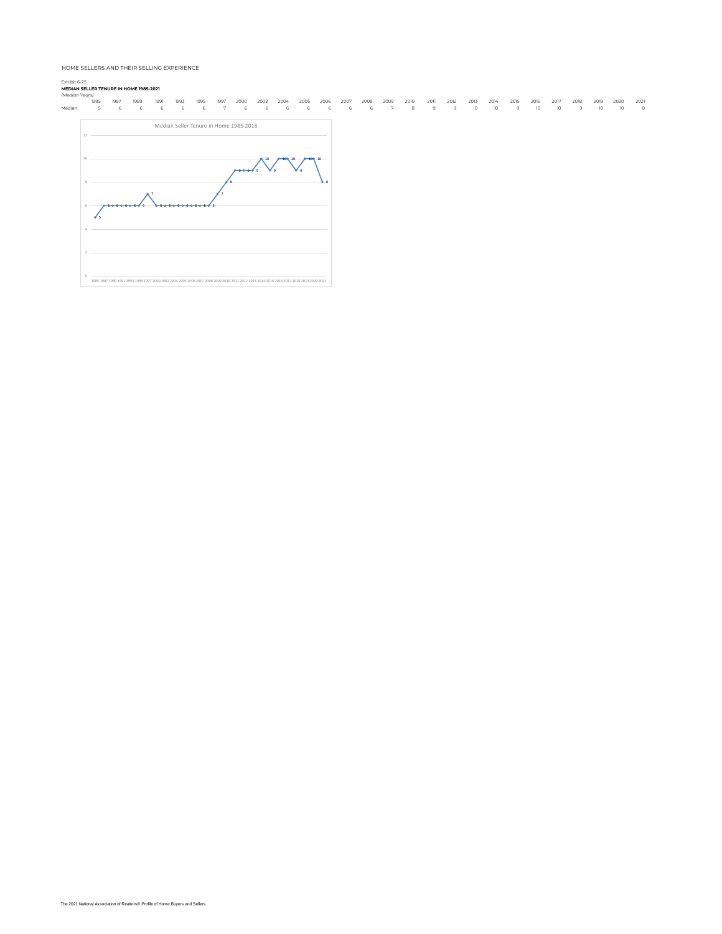## Exhibit 6-25

| (Median Years)<br>1985 | 1987 | 1989 | 1991 | 1993                                                                                                                                   | 1995 | 1997 | 2000 | 2002 | 2004 | 2005 | 2006       | 2007 | 2008 | 2009 | 2010 | 2011 | 2012 | 2013 | 2014 | 2015 | 2016            | 2017 | 2018 | 2019            | 2020 | 2021 |
|------------------------|------|------|------|----------------------------------------------------------------------------------------------------------------------------------------|------|------|------|------|------|------|------------|------|------|------|------|------|------|------|------|------|-----------------|------|------|-----------------|------|------|
| Median<br>5            | 6    | 6    | 6    | 6                                                                                                                                      | 6    | 7    | 6    | 6    | 6    | 6    | 6          | 6    | 6    | 7    | 8    | 9    | 9    | 9    | 10   | 9    | 10 <sup>°</sup> | 10   | 9    | 10 <sup>°</sup> | 10   | 8    |
| $12 -$                 |      |      |      | Median Seller Tenure in Home 1985-2018                                                                                                 |      |      |      |      |      |      |            |      |      |      |      |      |      |      |      |      |                 |      |      |                 |      |      |
| 10                     |      |      |      |                                                                                                                                        |      |      |      |      |      |      | $100 - 10$ |      |      |      |      |      |      |      |      |      |                 |      |      |                 |      |      |
|                        |      |      |      |                                                                                                                                        |      |      |      |      |      |      |            |      |      |      |      |      |      |      |      |      |                 |      |      |                 |      |      |
|                        |      |      |      |                                                                                                                                        |      |      |      |      |      |      |            |      |      |      |      |      |      |      |      |      |                 |      |      |                 |      |      |
| ₫s                     |      |      |      |                                                                                                                                        |      |      |      |      |      |      |            |      |      |      |      |      |      |      |      |      |                 |      |      |                 |      |      |
|                        |      |      |      |                                                                                                                                        |      |      |      |      |      |      |            |      |      |      |      |      |      |      |      |      |                 |      |      |                 |      |      |
|                        |      |      |      |                                                                                                                                        |      |      |      |      |      |      |            |      |      |      |      |      |      |      |      |      |                 |      |      |                 |      |      |
| 0.                     |      |      |      | 1985 1987 1989 1991 1993 1995 1997 2000 2002 2004 2005 2006 2007 2008 2009 2010 2011 2012 2013 2014 2015 2016 2017 2018 2019 2020 2021 |      |      |      |      |      |      |            |      |      |      |      |      |      |      |      |      |                 |      |      |                 |      |      |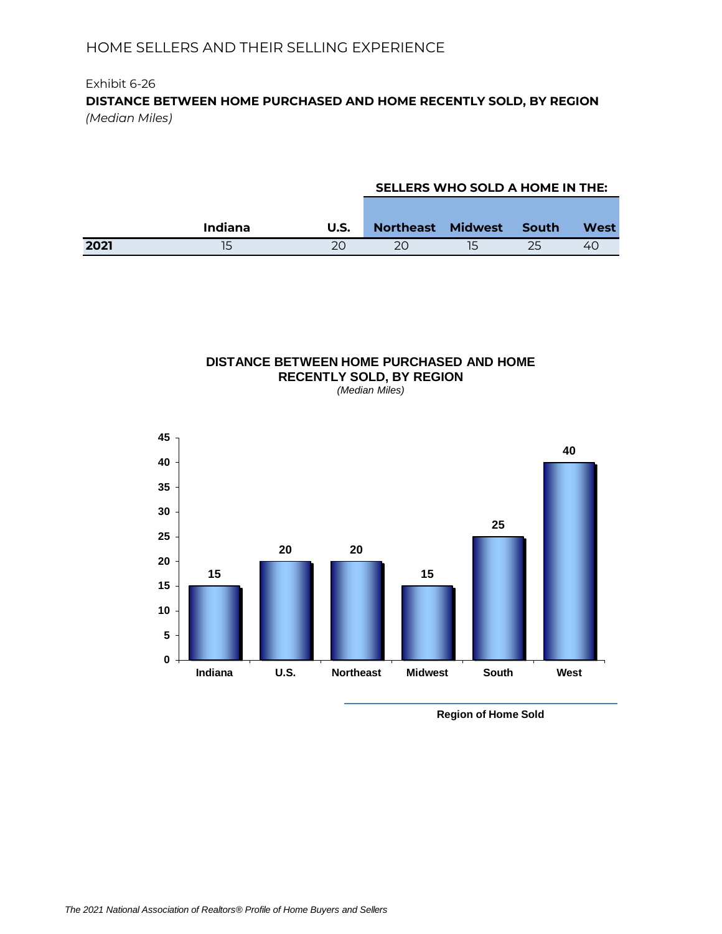## Exhibit 6-26 **DISTANCE BETWEEN HOME PURCHASED AND HOME RECENTLY SOLD, BY REGION** *(Median Miles)*

## **SELLERS WHO SOLD A HOME IN THE:**

|      | <b>Indiana</b> | U.S. | Northeast Midwest South |  | West |
|------|----------------|------|-------------------------|--|------|
| 2021 | 15             |      |                         |  | 4    |

# **DISTANCE BETWEEN HOME PURCHASED AND HOME RECENTLY SOLD, BY REGION**

*(Median Miles)*



**Region of Home Sold**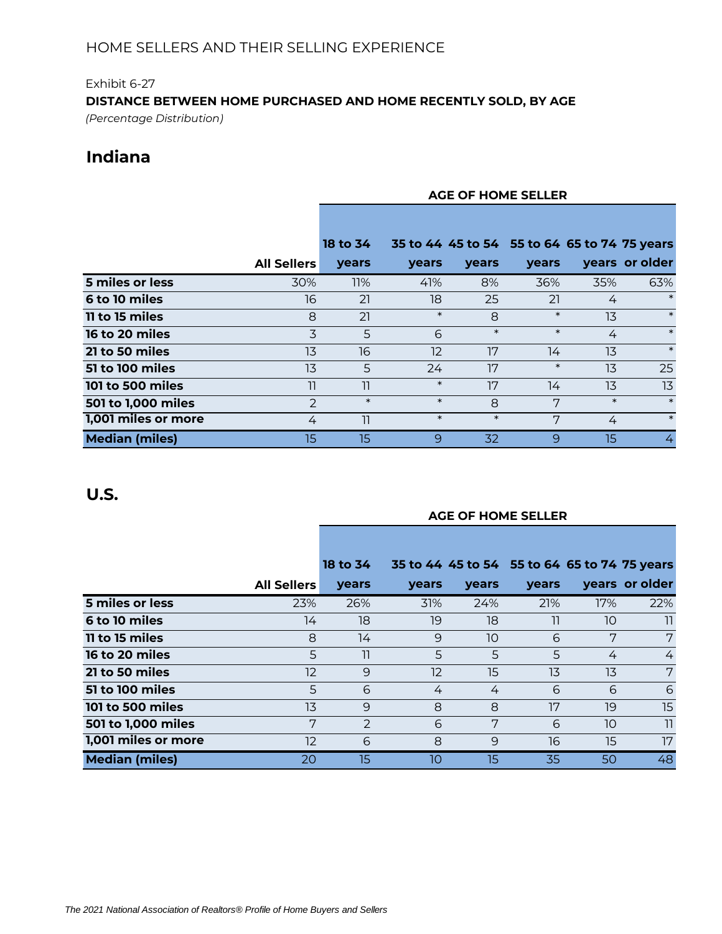# Exhibit 6-27 **DISTANCE BETWEEN HOME PURCHASED AND HOME RECENTLY SOLD, BY AGE**

*(Percentage Distribution)*

# **Indiana**

|                       |                    | <b>AGE OF HOME SELLER</b> |        |        |                                              |        |                |  |  |  |  |
|-----------------------|--------------------|---------------------------|--------|--------|----------------------------------------------|--------|----------------|--|--|--|--|
|                       |                    |                           |        |        |                                              |        |                |  |  |  |  |
|                       |                    | 18 to 34                  |        |        | 35 to 44 45 to 54 55 to 64 65 to 74 75 years |        |                |  |  |  |  |
|                       | <b>All Sellers</b> | years                     | years  | years  | <b>vears</b>                                 |        | years or older |  |  |  |  |
| 5 miles or less       | 30%                | 11%                       | 41%    | 8%     | 36%                                          | 35%    | 63%            |  |  |  |  |
| <b>6 to 10 miles</b>  | 16                 | 21                        | 18     | 25     | 21                                           | 4      | $\ast$         |  |  |  |  |
| 11 to 15 miles        | 8                  | 21                        | $\ast$ | 8      | $\ast$                                       | 13     | $\ast$         |  |  |  |  |
| <b>16 to 20 miles</b> | 3                  | 5                         | 6      | $\ast$ | $\ast$                                       | 4      | $\ast$         |  |  |  |  |
| 21 to 50 miles        | 13                 | 16                        | 12     | 17     | 14                                           | 13     | $\ast$         |  |  |  |  |
| 51 to 100 miles       | 13                 | 5                         | 24     | 17     | $\ast$                                       | 13     | 25             |  |  |  |  |
| 101 to 500 miles      | 11                 | 11                        | $\ast$ | 17     | 14                                           | 13     | 13             |  |  |  |  |
| 501 to 1,000 miles    | $\mathcal{P}$      | $\ast$                    | $\ast$ | 8      | 7                                            | $\ast$ | $\ast$         |  |  |  |  |
| 1,001 miles or more   | 4                  | 11                        | $\ast$ | $\ast$ | 7                                            | 4      | $\ast$         |  |  |  |  |
| <b>Median (miles)</b> | 15                 | 15                        | 9      | 32     | 9                                            | 15     | 4              |  |  |  |  |

# **U.S.**

## **AGE OF HOME SELLER**

|                       |                    | 18 to 34      |       |              | 35 to 44 45 to 54 55 to 64 65 to 74 75 years |     |                |
|-----------------------|--------------------|---------------|-------|--------------|----------------------------------------------|-----|----------------|
|                       | <b>All Sellers</b> | years         | years | <b>vears</b> | <b>vears</b>                                 |     | years or older |
| 5 miles or less       | 23%                | 26%           | 31%   | 24%          | 21%                                          | 17% | 22%            |
| <b>6 to 10 miles</b>  | 14                 | 18            | 19    | 18           | 11                                           | 10  | 11             |
| <b>11 to 15 miles</b> | 8                  | 14            | 9     | 10           | 6                                            | 7   | 7              |
| 16 to 20 miles        | 5                  | 11            | 5     | 5            | 5                                            | 4   | 4              |
| 21 to 50 miles        | 12                 | 9             | 12    | 15           | 13                                           | 13  | 7              |
| 51 to 100 miles       | 5                  | 6             | 4     | 4            | 6                                            | 6   | 6              |
| 101 to 500 miles      | 13                 | 9             | 8     | 8            | 17                                           | 19  | 15             |
| 501 to 1,000 miles    | 7                  | $\mathcal{P}$ | 6     | 7            | 6                                            | 10  | $\overline{1}$ |
| 1,001 miles or more   | 12                 | 6             | 8     | 9            | 16                                           | 15  | 17             |
| <b>Median (miles)</b> | 20                 | 15            | 10    | 15           | 35                                           | 50  | 48             |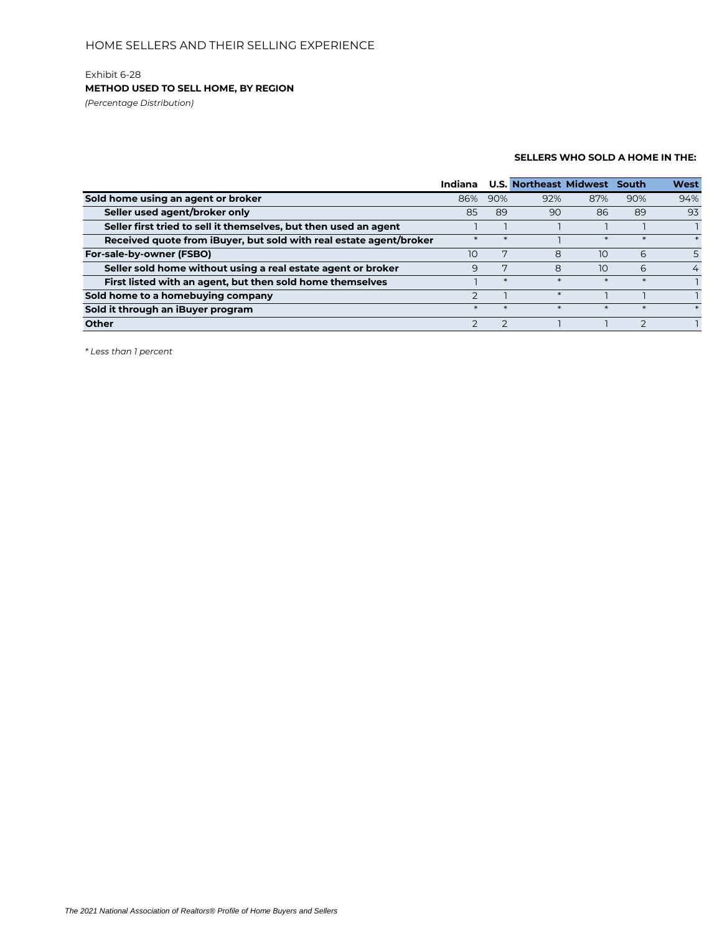### Exhibit 6-28 **METHOD USED TO SELL HOME, BY REGION**

*(Percentage Distribution)*

### **SELLERS WHO SOLD A HOME IN THE:**

|                                                                    | Indiana |        | <b>U.S. Northeast Midwest</b> |        | South  | <b>West</b> |
|--------------------------------------------------------------------|---------|--------|-------------------------------|--------|--------|-------------|
| Sold home using an agent or broker                                 | 86%     | 90%    | 92%                           | 87%    | 90%    | 94%         |
| Seller used agent/broker only                                      | 85      | 89     | 90                            | 86     | 89     | 93          |
| Seller first tried to sell it themselves, but then used an agent   |         |        |                               |        |        |             |
| Received quote from iBuyer, but sold with real estate agent/broker |         |        |                               |        |        |             |
| For-sale-by-owner (FSBO)                                           | 10      |        | 8                             | 10     | 6      |             |
| Seller sold home without using a real estate agent or broker       | 9       |        | 8                             | 10     | 6      | 4           |
| First listed with an agent, but then sold home themselves          |         | $\ast$ | $\ast$                        | $\ast$ | $\ast$ |             |
| Sold home to a homebuying company                                  |         |        | $\ast$                        |        |        |             |
| Sold it through an iBuyer program                                  |         |        |                               |        |        |             |
| <b>Other</b>                                                       |         |        |                               |        |        |             |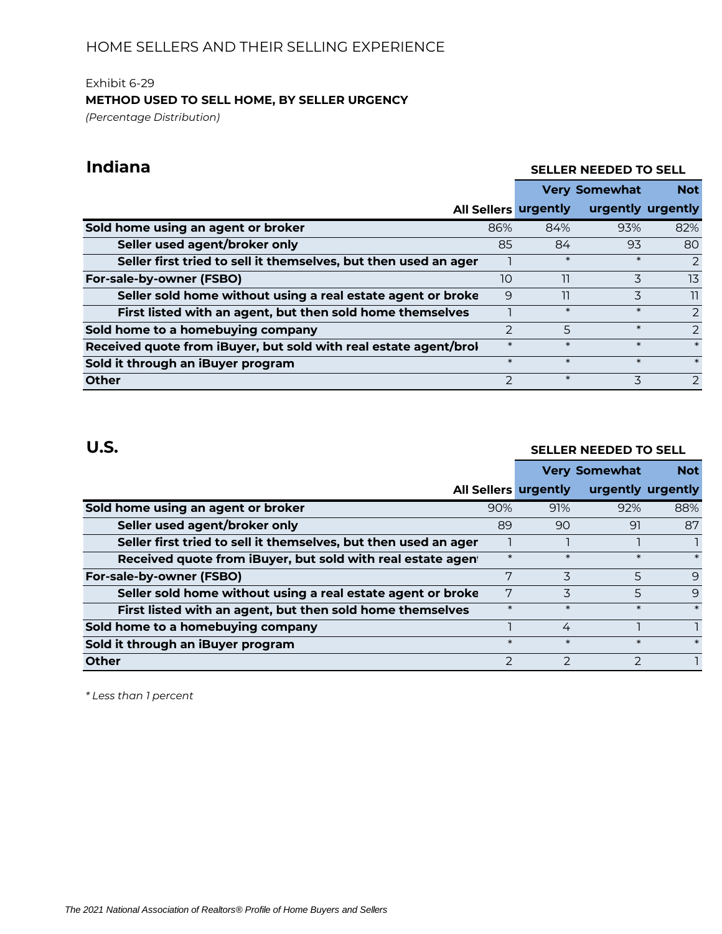## Exhibit 6-29 **METHOD USED TO SELL HOME, BY SELLER URGENCY** *(Percentage Distribution)*

# **Indiana**

## **SELLER NEEDED TO SELL**

**Not** 

|                                                                  |               | <b>Very Somewhat</b>        | <b>Not</b>        |               |
|------------------------------------------------------------------|---------------|-----------------------------|-------------------|---------------|
|                                                                  |               | <b>All Sellers urgently</b> | urgently urgently |               |
| Sold home using an agent or broker                               | 86%           | 84%                         | 93%               | 82%           |
| Seller used agent/broker only                                    | 85            | 84                          | 93                | 80            |
| Seller first tried to sell it themselves, but then used an ager  |               | $\ast$                      | $\ast$            | 2             |
| For-sale-by-owner (FSBO)                                         | 10            | 11                          | 3                 | 13            |
| Seller sold home without using a real estate agent or broke      | 9             | 11                          | 3                 | וו            |
| First listed with an agent, but then sold home themselves        |               | $\ast$                      | $\ast$            | $\mathcal{P}$ |
| Sold home to a homebuying company                                | $\mathcal{P}$ | 5                           | $\ast$            | $\mathcal{P}$ |
| Received quote from iBuyer, but sold with real estate agent/brol | $\ast$        | $\ast$                      | $\ast$            | $\ast$        |
| Sold it through an iBuyer program                                | $\ast$        | $\ast$                      | $\ast$            | $\ast$        |
| <b>Other</b>                                                     | $\mathcal{P}$ | $\ast$                      | $\overline{3}$    | 2             |

# **U.S.**

## **SELLER NEEDED TO SELL**

|                                                                 |               | <b>Very Somewhat</b>        | <b>Not</b>        |              |
|-----------------------------------------------------------------|---------------|-----------------------------|-------------------|--------------|
|                                                                 |               | <b>All Sellers urgently</b> | urgently urgently |              |
| Sold home using an agent or broker                              | 90%           | 91%                         | 92%               | 88%          |
| Seller used agent/broker only                                   | 89            | 90                          | 91                | 87           |
| Seller first tried to sell it themselves, but then used an ager |               |                             |                   |              |
| Received quote from iBuyer, but sold with real estate agent     | $\ast$        | $\ast$                      | $\ast$            | $\ast$       |
| For-sale-by-owner (FSBO)                                        | 7             | $\overline{\mathbf{z}}$     | 5                 | $\Theta$     |
| Seller sold home without using a real estate agent or broke     | 7             | 3                           | 5                 | $\mathsf{Q}$ |
| First listed with an agent, but then sold home themselves       | $\ast$        | $\ast$                      | $\ast$            | $\ast$       |
| Sold home to a homebuying company                               |               | 4                           |                   |              |
| Sold it through an iBuyer program                               | $\ast$        | $\ast$                      | $\ast$            | $\ast$       |
| Other                                                           | $\mathcal{P}$ |                             |                   |              |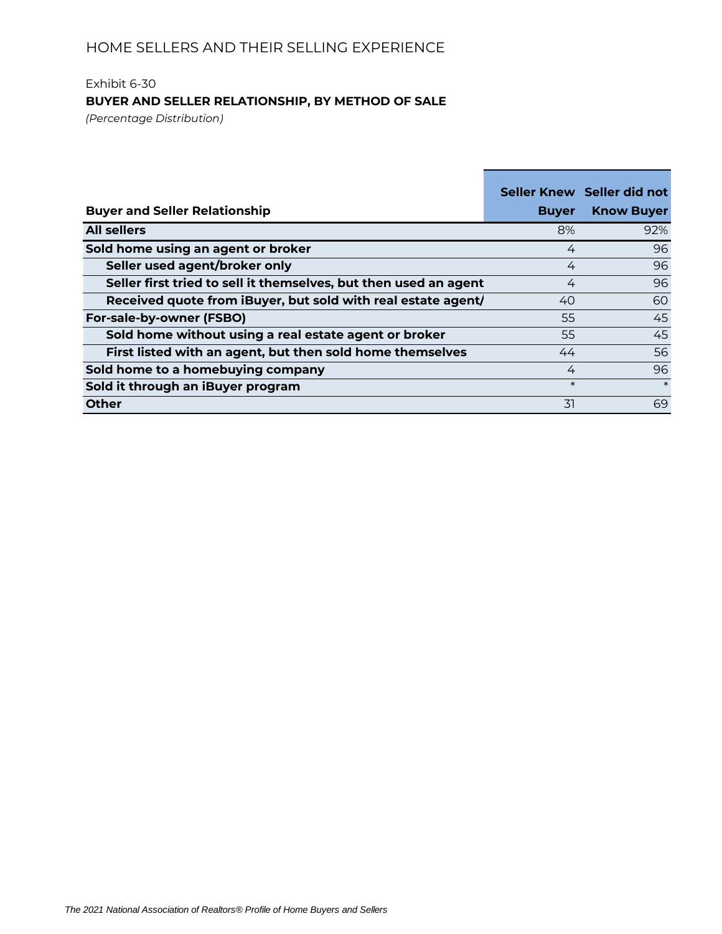## Exhibit 6-30 **BUYER AND SELLER RELATIONSHIP, BY METHOD OF SALE**

*(Percentage Distribution)*

|                                                                  |              | Seller Knew Seller did not |
|------------------------------------------------------------------|--------------|----------------------------|
| <b>Buyer and Seller Relationship</b>                             | <b>Buyer</b> | <b>Know Buyer</b>          |
| <b>All sellers</b>                                               | 8%           | 92%                        |
| Sold home using an agent or broker                               | 4            | 96                         |
| Seller used agent/broker only                                    | 4            | 96                         |
| Seller first tried to sell it themselves, but then used an agent | 4            | 96                         |
| Received quote from iBuyer, but sold with real estate agent/     | 40           | 60                         |
| For-sale-by-owner (FSBO)                                         | 55           | 45                         |
| Sold home without using a real estate agent or broker            | 55           | 45                         |
| First listed with an agent, but then sold home themselves        | 44           | 56                         |
| Sold home to a homebuying company                                | 4            | 96                         |
| Sold it through an iBuyer program                                | $\ast$       | $\ast$                     |
| <b>Other</b>                                                     | .31          | 69                         |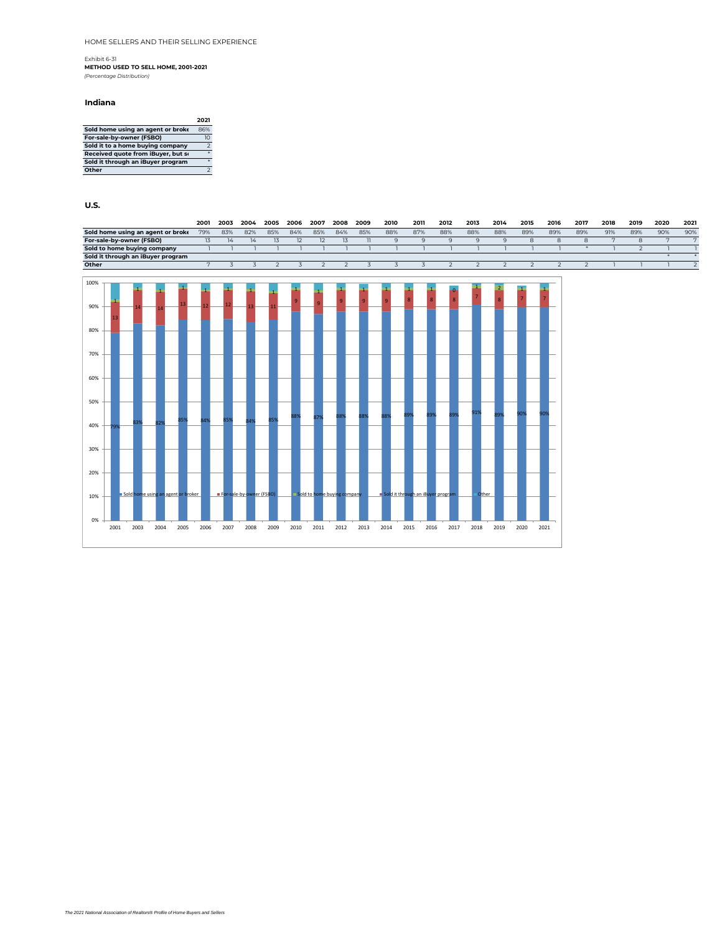### Exhibit 6-31 **METHOD USED TO SELL HOME, 2001-2021** *(Percentage Distribution)*

#### **Indiana**

|                                    | 2021           |
|------------------------------------|----------------|
| Sold home using an agent or broke  | 86%            |
| For-sale-by-owner (FSBO)           | 10             |
| Sold it to a home buying company   | $\overline{z}$ |
| Received quote from iBuyer, but so |                |
| Sold it through an iBuyer program  |                |
| Other                              |                |

|                                   | 2001             | 2003 | 2004          | 2005 | 2006 | 2007 | 2008 | 2009 | 2010 | 2011 | 2012 | 2013 | 2014 | 2015 | 2016 | 2017 | 2018 | 2019 | 2020 | 2021 |
|-----------------------------------|------------------|------|---------------|------|------|------|------|------|------|------|------|------|------|------|------|------|------|------|------|------|
| Sold home using an agent or broke | 79%              | 83%  | 82%           | 85%  | 84%  | 85%  | 84%  | 85%  | 88%  | 87%  | 88%  | 88%  | 88%  | 89%  | 89%  | 89%  | 91%  | 89%  | 90%  | 90%  |
| For-sale-by-owner (FSBO)          | $\overline{1.5}$ |      | $\frac{1}{4}$ |      |      |      | 1.5  |      |      |      |      |      |      |      |      |      |      |      |      |      |
| Sold to home buying company       |                  |      |               |      |      |      |      |      |      |      |      |      |      |      |      |      |      |      |      |      |
| Sold it through an iBuyer program |                  |      |               |      |      |      |      |      |      |      |      |      |      |      |      |      |      |      |      |      |
| Other                             |                  |      |               |      |      |      |      |      |      |      |      |      |      |      |      |      |      |      |      |      |
|                                   |                  |      |               |      |      |      |      |      |      |      |      |      |      |      |      |      |      |      |      |      |

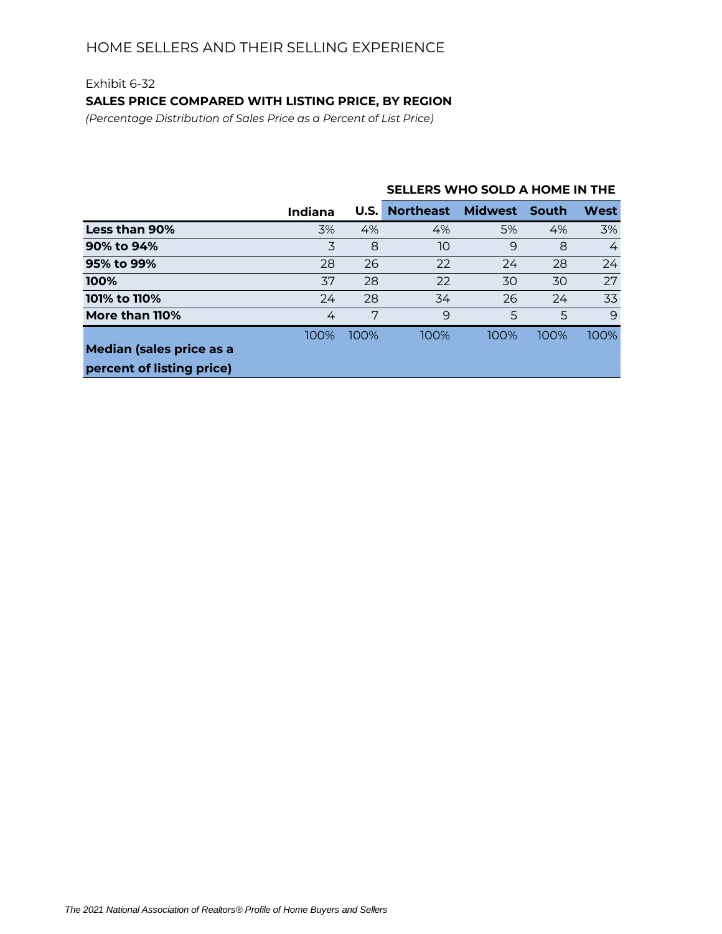## Exhibit 6-32 **SALES PRICE COMPARED WITH LISTING PRICE, BY REGION**

*(Percentage Distribution of Sales Price as a Percent of List Price)*

|                                 |                |             | SELLERS WHO SOLD A HOME IN THE |                |              |      |  |  |  |  |
|---------------------------------|----------------|-------------|--------------------------------|----------------|--------------|------|--|--|--|--|
|                                 | <b>Indiana</b> | <b>U.S.</b> | <b>Northeast</b>               | <b>Midwest</b> | <b>South</b> | West |  |  |  |  |
| Less than 90%                   | 3%             | 4%          | 4%                             | 5%             | 4%           | 3%   |  |  |  |  |
| 90% to 94%                      | 3              | 8           | 10                             | 9              | 8            | 4    |  |  |  |  |
| 95% to 99%                      | 28             | 26          | 22                             | 24             | 28           | 24   |  |  |  |  |
| 100%                            | 37             | 28          | 22                             | 30             | 30           | 27   |  |  |  |  |
| 101% to 110%                    | 24             | 28          | 34                             | 26             | 24           | 33   |  |  |  |  |
| More than 110%                  | 4              | 7           | 9                              | 5              | 5            | 9    |  |  |  |  |
|                                 | 100%           | 100%        | 100%                           | 100%           | 100%         | 100% |  |  |  |  |
| <b>Median (sales price as a</b> |                |             |                                |                |              |      |  |  |  |  |
| percent of listing price)       |                |             |                                |                |              |      |  |  |  |  |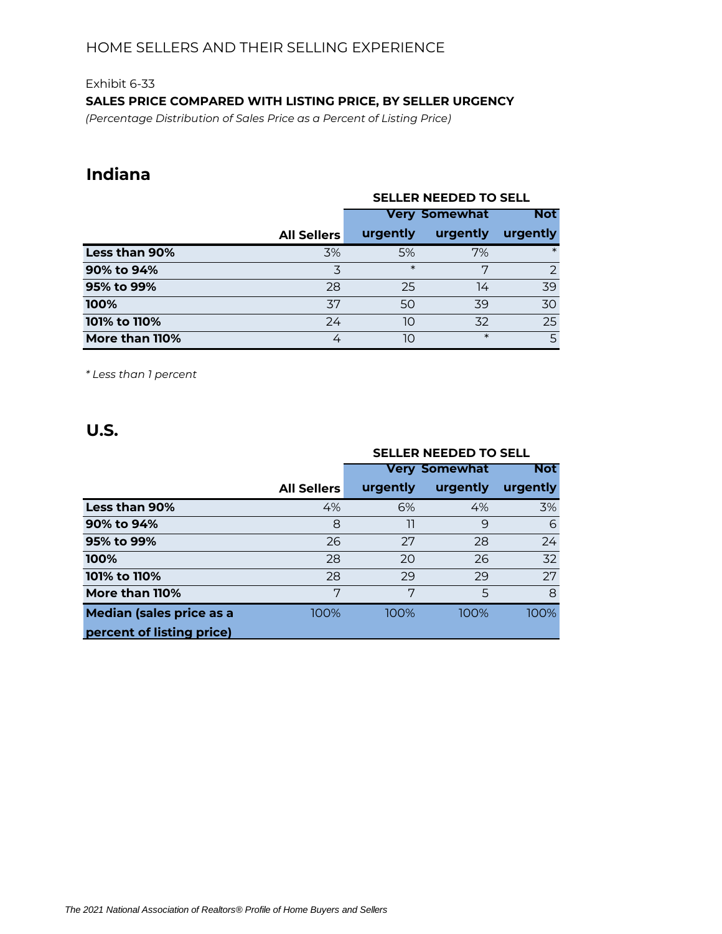## Exhibit 6-33 **SALES PRICE COMPARED WITH LISTING PRICE, BY SELLER URGENCY**

*(Percentage Distribution of Sales Price as a Percent of Listing Price)*

# **Indiana**

|                |                    | <b>SELLER NEEDED TO SELL</b> |            |                |  |  |  |  |  |
|----------------|--------------------|------------------------------|------------|----------------|--|--|--|--|--|
|                |                    | <b>Very Somewhat</b>         | <b>Not</b> |                |  |  |  |  |  |
|                | <b>All Sellers</b> | urgently                     | urgently   | urgently       |  |  |  |  |  |
| Less than 90%  | 3%                 | 5%                           | 7%         | $\ast$         |  |  |  |  |  |
| 90% to 94%     | 3                  | $\ast$                       | 7          | $\overline{2}$ |  |  |  |  |  |
| 95% to 99%     | 28                 | 25                           | 14         | 39             |  |  |  |  |  |
| 100%           | 37                 | 50                           | 39         | 30             |  |  |  |  |  |
| 101% to 110%   | 24                 | 10                           | 32         | 25             |  |  |  |  |  |
| More than 110% | 4                  | 1O                           | $\ast$     | 5              |  |  |  |  |  |

*\* Less than 1 percent*

|                                 |                    | <b>SELLER NEEDED TO SELL</b> |                      |            |  |  |  |  |  |
|---------------------------------|--------------------|------------------------------|----------------------|------------|--|--|--|--|--|
|                                 |                    |                              | <b>Very Somewhat</b> | <b>Not</b> |  |  |  |  |  |
|                                 | <b>All Sellers</b> | urgently                     | urgently             | urgently   |  |  |  |  |  |
| Less than 90%                   | 4%                 | 6%                           | 4%                   | 3%         |  |  |  |  |  |
| 90% to 94%                      | 8                  | 11                           | 9                    | 6          |  |  |  |  |  |
| 95% to 99%                      | 26                 | 27                           | 28                   | 24         |  |  |  |  |  |
| 100%                            | 28                 | 20                           | 26                   | 32         |  |  |  |  |  |
| 101% to 110%                    | 28                 | 29                           | 29                   | 27         |  |  |  |  |  |
| More than 110%                  | 7                  | 7                            | 5                    | 8          |  |  |  |  |  |
| <b>Median (sales price as a</b> | 100%               | 100%                         | 100%                 | 100%       |  |  |  |  |  |
| percent of listing price)       |                    |                              |                      |            |  |  |  |  |  |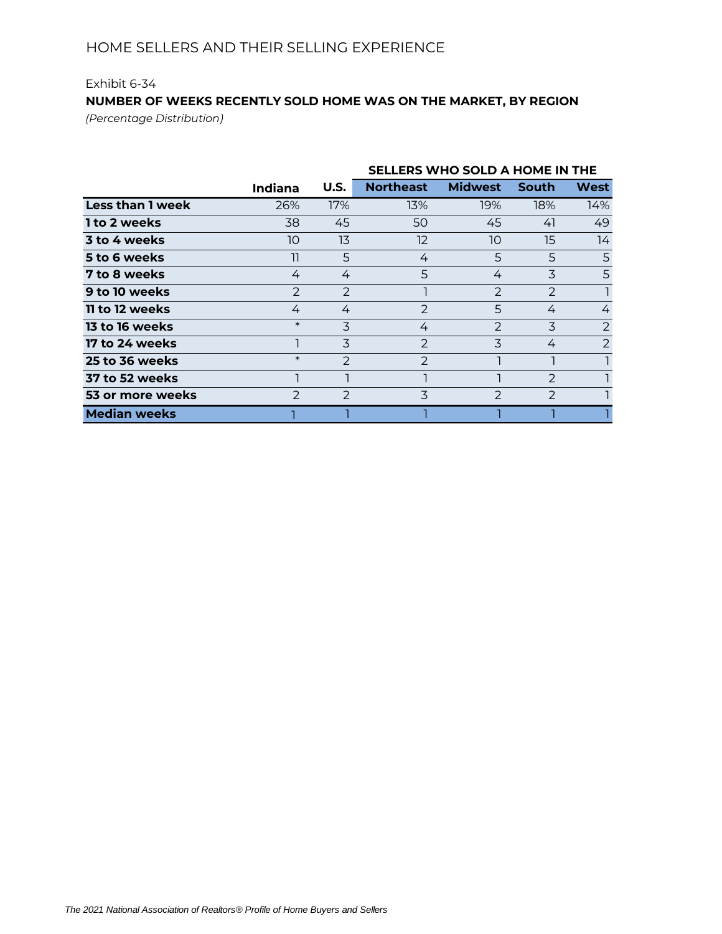# Exhibit 6-34 **NUMBER OF WEEKS RECENTLY SOLD HOME WAS ON THE MARKET, BY REGION**

*(Percentage Distribution)*

|                         |                |               | SELLERS WHO SOLD A HOME IN THE |                |               |      |  |  |
|-------------------------|----------------|---------------|--------------------------------|----------------|---------------|------|--|--|
|                         | <b>Indiana</b> | U.S.          | <b>Northeast</b>               | <b>Midwest</b> | <b>South</b>  | West |  |  |
| <b>Less than 1 week</b> | 26%            | 17%           | 13%                            | 19%            | 18%           | 14%  |  |  |
| 1 to 2 weeks            | 38             | 45            | 50                             | 45             | 41            | 49   |  |  |
| 3 to 4 weeks            | 10             | 13            | 12                             | 10             | 15            | 14   |  |  |
| 5 to 6 weeks            | וו             | 5             | 4                              | 5              | 5             | 5    |  |  |
| 7 to 8 weeks            | 4              | 4             | 5                              | 4              | 3             | 5    |  |  |
| 9 to 10 weeks           | $\mathcal{P}$  | $\mathcal{P}$ |                                | $\mathcal{P}$  | $\mathcal{P}$ |      |  |  |
| 11 to 12 weeks          | 4              | 4             | $\mathcal{P}$                  | 5              | 4             | 4    |  |  |
| <b>13 to 16 weeks</b>   | $\ast$         | 3             | 4                              | $\mathcal{P}$  | 3             | 2    |  |  |
| 17 to 24 weeks          |                | 3             | 2                              | 3              | 4             | 2    |  |  |
| 25 to 36 weeks          | $\ast$         | 2             | 2                              |                |               |      |  |  |
| 37 to 52 weeks          |                |               |                                |                | $\mathcal{P}$ |      |  |  |
| 53 or more weeks        | $\mathcal{P}$  | $\mathcal{P}$ | 3                              | $\mathcal{P}$  | $\mathcal{P}$ |      |  |  |
| <b>Median weeks</b>     |                |               |                                |                |               |      |  |  |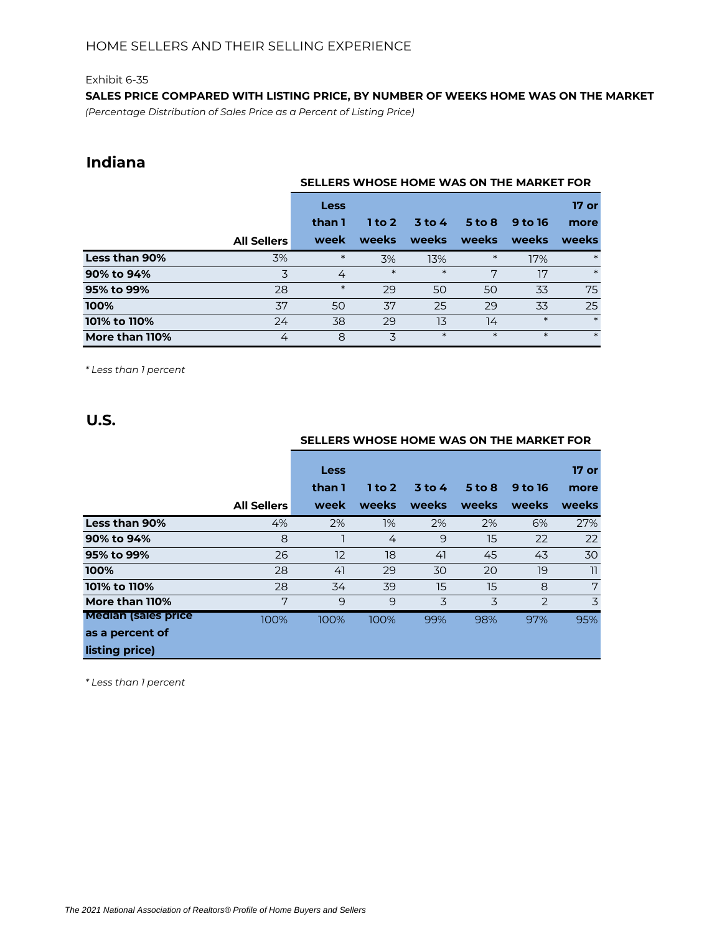**SALES PRICE COMPARED WITH LISTING PRICE, BY NUMBER OF WEEKS HOME WAS ON THE MARKET** *(Percentage Distribution of Sales Price as a Percent of Listing Price)*

# **Indiana**

|                |                    | SELLERS WHOSE HOME WAS ON THE MARKET FOR |        |          |          |         |         |  |  |
|----------------|--------------------|------------------------------------------|--------|----------|----------|---------|---------|--|--|
|                |                    | Less                                     |        |          |          |         | $17$ or |  |  |
|                |                    | than 1                                   | 1 to 2 | $3$ to 4 | $5$ to 8 | 9 to 16 | more    |  |  |
|                | <b>All Sellers</b> | week                                     | weeks  | weeks    | weeks    | weeks   | weeks   |  |  |
| Less than 90%  | 3%                 | $\ast$                                   | 3%     | 13%      | $\ast$   | 17%     | $\ast$  |  |  |
| 90% to 94%     | 3                  | 4                                        | $\ast$ | $\ast$   | 7        | 17      | $\ast$  |  |  |
| 95% to 99%     | 28                 | $\ast$                                   | 29     | 50       | 50       | 33      | 75      |  |  |
| 100%           | 37                 | 50                                       | 37     | 25       | 29       | 33      | 25      |  |  |
| 101% to 110%   | 24                 | 38                                       | 29     | 13       | 14       | $\ast$  | $\ast$  |  |  |
| More than 110% | 4                  | 8                                        | 3      | $\ast$   | $\ast$   | $\ast$  | $\ast$  |  |  |

*\* Less than 1 percent*

**U.S.**

|                             |                    | SELLERS WHOSE HOME WAS ON THE MARKET FOR |          |          |            |         |                 |  |  |
|-----------------------------|--------------------|------------------------------------------|----------|----------|------------|---------|-----------------|--|--|
|                             |                    | <b>Less</b><br>than 1                    | $1$ to 2 | $3$ to 4 | $5$ to $8$ | 9 to 16 | $17$ or<br>more |  |  |
|                             | <b>All Sellers</b> | week                                     | weeks    | weeks    | weeks      | weeks   | <b>weeks</b>    |  |  |
| Less than 90%               | 4%                 | 2%                                       | $1\%$    | 2%       | 2%         | 6%      | 27%             |  |  |
| 90% to 94%                  | 8                  |                                          | 4        | 9        | 15         | 22      | 22              |  |  |
| 95% to 99%                  | 26                 | 12                                       | 18       | 41       | 45         | 43      | 30              |  |  |
| 100%                        | 28                 | 41                                       | 29       | 30       | 20         | 19      | 11              |  |  |
| 101% to 110%                | 28                 | 34                                       | 39       | 15       | 15         | 8       | 7               |  |  |
| More than 110%              | 7                  | 9                                        | 9        | 3        | 3          | 2       | 3               |  |  |
| <b>Median (sales price)</b> | 100%               | 100%                                     | 100%     | 99%      | 98%        | 97%     | 95%             |  |  |
| as a percent of             |                    |                                          |          |          |            |         |                 |  |  |
| listing price)              |                    |                                          |          |          |            |         |                 |  |  |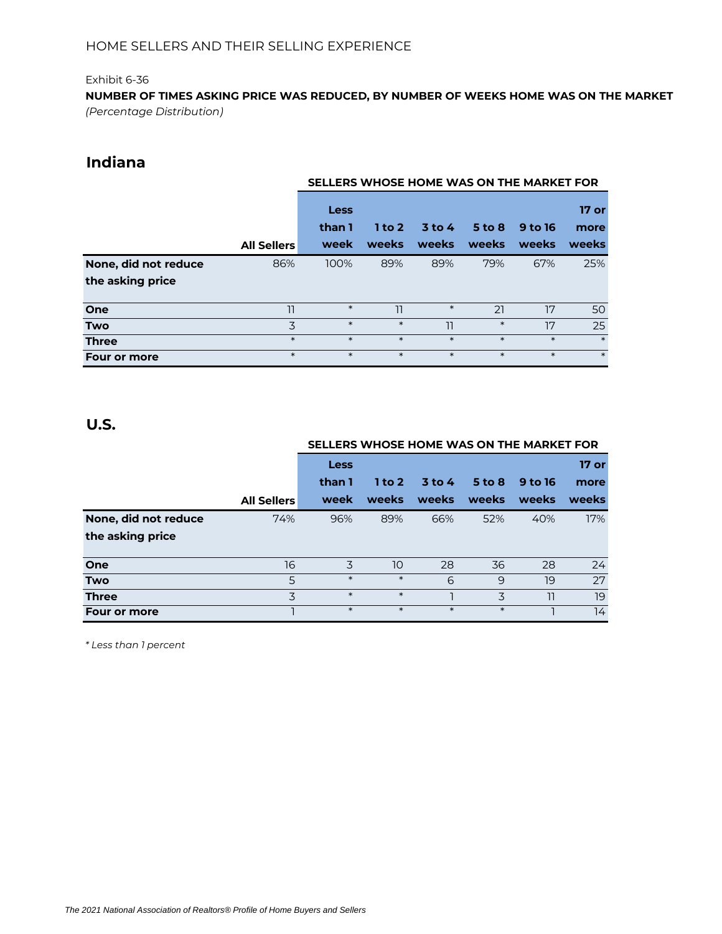**NUMBER OF TIMES ASKING PRICE WAS REDUCED, BY NUMBER OF WEEKS HOME WAS ON THE MARKET** *(Percentage Distribution)*

# **Indiana**

|                      |                    | SELLERS WHOSE HOME WAS ON THE MARKET FOR |                   |                   |                     |                         |                        |  |  |
|----------------------|--------------------|------------------------------------------|-------------------|-------------------|---------------------|-------------------------|------------------------|--|--|
|                      | <b>All Sellers</b> | Less<br>than 1<br>week                   | $1$ to 2<br>weeks | $3$ to 4<br>weeks | $5$ to $8$<br>weeks | <b>9 to 16</b><br>weeks | 17 or<br>more<br>weeks |  |  |
| None, did not reduce | 86%                | 100%                                     | 89%               | 89%               | 79%                 | 67%                     | 25%                    |  |  |
| the asking price     |                    |                                          |                   |                   |                     |                         |                        |  |  |
| One                  | 11                 | $\ast$                                   | 11                | $\ast$            | 21                  | 17                      | 50                     |  |  |
| <b>Two</b>           | 3                  | $\ast$                                   | $\ast$            | 11                | $\ast$              | 17                      | 25                     |  |  |
| <b>Three</b>         | $\ast$             | $\ast$                                   | $\ast$            | $\ast$            | $\ast$              | $\ast$                  | $\ast$                 |  |  |
| <b>Four or more</b>  | $\ast$             | $\ast$                                   | $\ast$            | $\ast$            | $\ast$              | $\ast$                  | $\ast$                 |  |  |

# **U.S.**

|                      |                    | SELLERS WHOSE HOME WAS ON THE MARKET FOR |          |          |            |         |         |  |  |
|----------------------|--------------------|------------------------------------------|----------|----------|------------|---------|---------|--|--|
|                      |                    | <b>Less</b>                              |          |          |            |         | $17$ or |  |  |
|                      |                    | than 1                                   | $1$ to 2 | $3$ to 4 | $5$ to $8$ | 9 to 16 | more    |  |  |
|                      | <b>All Sellers</b> | week                                     | weeks    | weeks    | weeks      | weeks   | weeks   |  |  |
| None, did not reduce | 74%                | 96%                                      | 89%      | 66%      | 52%        | 40%     | 17%     |  |  |
| the asking price     |                    |                                          |          |          |            |         |         |  |  |
| One                  | 16                 | 3                                        | 10       | 28       | 36         | 28      | 24      |  |  |
| <b>Two</b>           | 5                  | $\ast$                                   | $\ast$   | 6        | 9          | 19      | 27      |  |  |
| <b>Three</b>         | 3                  | $\ast$                                   | $\ast$   |          | 3          | 11      | 19      |  |  |
| Four or more         |                    | $\ast$                                   | $\ast$   | $\ast$   | $\ast$     |         | 14      |  |  |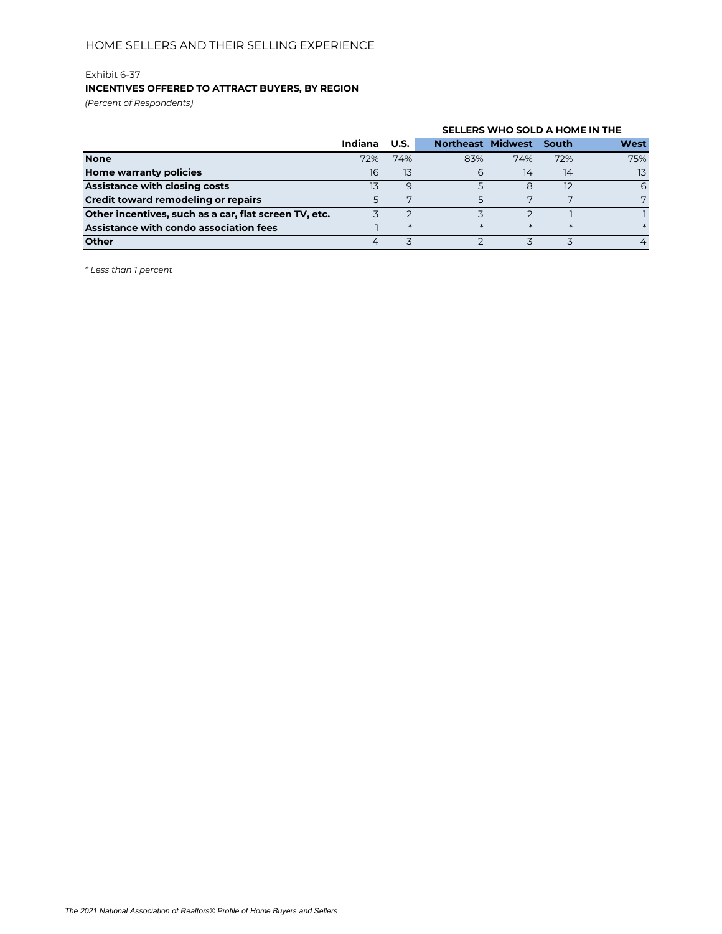### **INCENTIVES OFFERED TO ATTRACT BUYERS, BY REGION**

*(Percent of Respondents)*

|                                                       |         |             | SELLERS WHO SOLD A HOME IN THE |     |        |             |  |  |
|-------------------------------------------------------|---------|-------------|--------------------------------|-----|--------|-------------|--|--|
|                                                       | Indiana | <b>U.S.</b> | <b>Northeast Midwest</b>       |     | South  | <b>West</b> |  |  |
| <b>None</b>                                           | 72%     | 74%         | 83%                            | 74% | 72%    | 75%         |  |  |
| Home warranty policies                                | 16      | 13          | 6                              | 14  | 14     | 13          |  |  |
| <b>Assistance with closing costs</b>                  | 13      | 9           |                                | 8   | 12     | 6           |  |  |
| Credit toward remodeling or repairs                   |         | ⇁           |                                | ⇁   | ⇁      | 7           |  |  |
| Other incentives, such as a car, flat screen TV, etc. |         |             |                                |     |        |             |  |  |
| Assistance with condo association fees                |         |             | $\star$                        |     | $\ast$ |             |  |  |
| <b>Other</b>                                          | 4       |             |                                |     |        | 4           |  |  |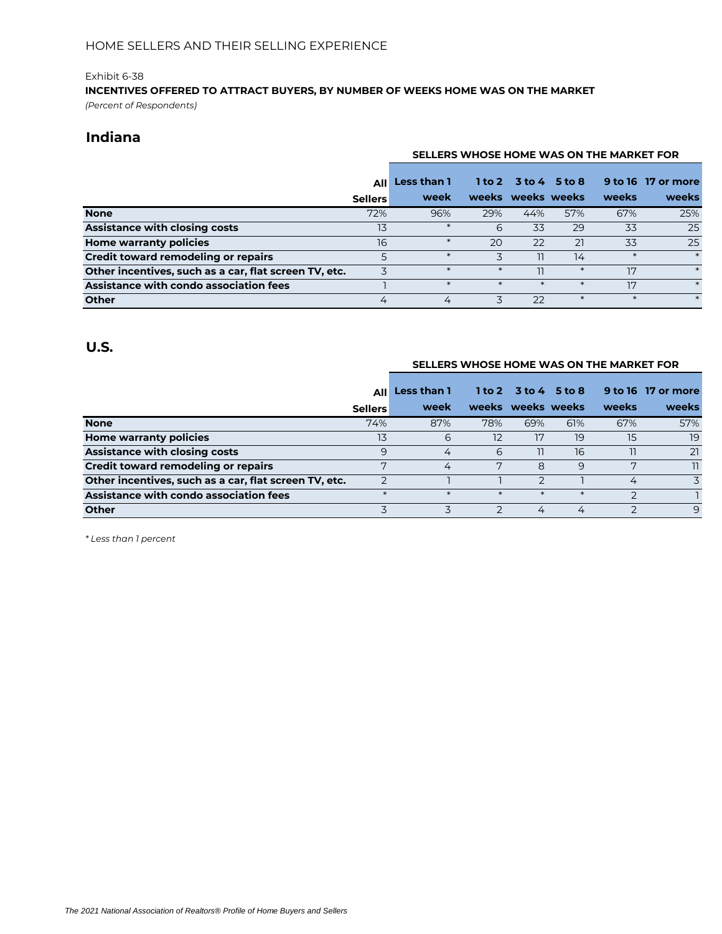# **INCENTIVES OFFERED TO ATTRACT BUYERS, BY NUMBER OF WEEKS HOME WAS ON THE MARKET**

*(Percent of Respondents)*

## **Indiana**

|                                                       |                | SELLERS WHOSE HOME WAS ON THE MARKET FOR |        |                      |        |        |                    |  |
|-------------------------------------------------------|----------------|------------------------------------------|--------|----------------------|--------|--------|--------------------|--|
|                                                       | <b>All</b>     | Less than 1                              |        | 1 to 2 3 to 4 5 to 8 |        |        | 9 to 16 17 or more |  |
|                                                       | <b>Sellers</b> | week                                     |        | weeks weeks weeks    |        | weeks  | weeks              |  |
| <b>None</b>                                           | 72%            | 96%                                      | 29%    | 44%                  | 57%    | 67%    | 25%                |  |
| Assistance with closing costs                         | 13             | $\ast$                                   | 6      | 33                   | 29     | 33     | 25                 |  |
| Home warranty policies                                | 16             |                                          | 20     | 22                   | 21     | 33     | 25                 |  |
| <b>Credit toward remodeling or repairs</b>            | 5              | $\ast$                                   | 3      | 11                   | 14     | $\ast$ | $\ast$             |  |
| Other incentives, such as a car, flat screen TV, etc. |                | $\ast$                                   | $\ast$ |                      | $\ast$ | 17     | $\ast$             |  |
| Assistance with condo association fees                |                |                                          |        | $\ast$               | $\ast$ | 17     | $\ast$             |  |
| <b>Other</b>                                          | 4              | 4                                        | 3      | 22                   | $\ast$ | $\ast$ | $\ast$             |  |

## **U.S.**

#### **SELLERS WHOSE HOME WAS ON THE MARKET FOR**

|                                                       | AIII           | Less than 1 |        |                   | $1$ to $2$ 3 to $4$ 5 to $8$ |       | 9 to 16 17 or more |
|-------------------------------------------------------|----------------|-------------|--------|-------------------|------------------------------|-------|--------------------|
|                                                       | <b>Sellers</b> | week        |        | weeks weeks weeks |                              | weeks | weeks              |
| <b>None</b>                                           | 74%            | 87%         | 78%    | 69%               | 61%                          | 67%   | 57%                |
| Home warranty policies                                | 13             | 6           | 12     | 17                | 19                           | 15    | 19                 |
| <b>Assistance with closing costs</b>                  | 9              | 4           | 6      | וו                | 16                           | 11    | 21                 |
| Credit toward remodeling or repairs                   | ⇁              | 4           | 7      | 8                 | 9                            | ヮ     | 11                 |
| Other incentives, such as a car, flat screen TV, etc. | っ              |             |        |                   |                              | 4     | $\overline{5}$     |
| Assistance with condo association fees                | $\ast$         |             | $\ast$ | $\ast$            | $\ast$                       |       |                    |
| Other                                                 |                |             |        | 4                 |                              |       | $\mathsf{Q}$       |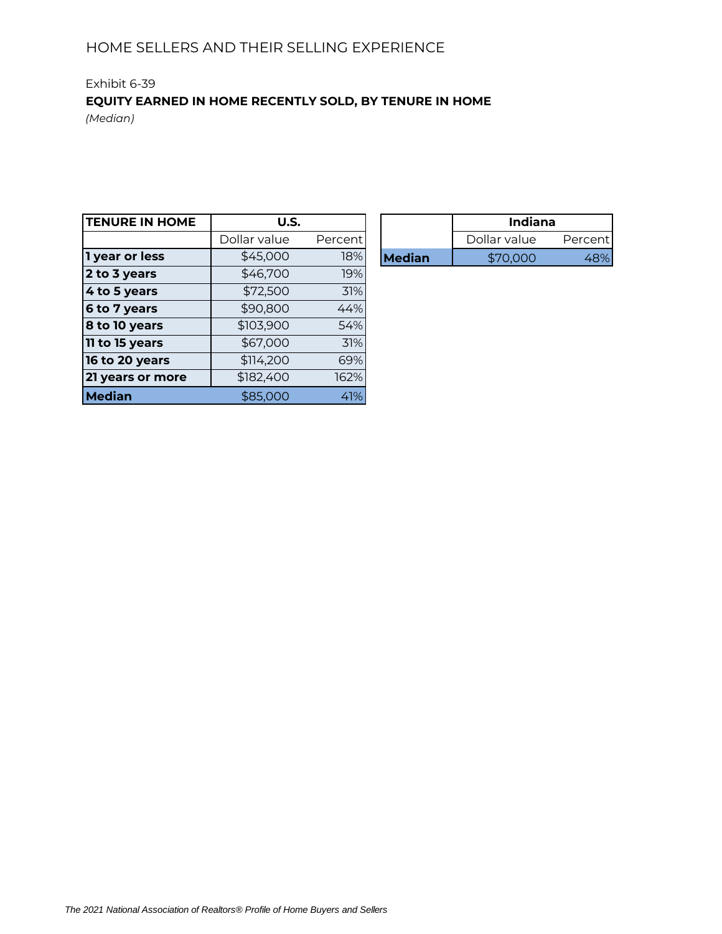# Exhibit 6-39 **EQUITY EARNED IN HOME RECENTLY SOLD, BY TENURE IN HOME**

*(Median)*

| <b>TENURE IN HOME</b> | U.S.         |         |               | <b>Indiana</b> |         |
|-----------------------|--------------|---------|---------------|----------------|---------|
|                       | Dollar value | Percent |               | Dollar value   | Percent |
| 1 year or less        | \$45,000     | 18%     | <b>Median</b> | \$70,000       | 48%     |
| 2 to 3 years          | \$46,700     | 19%     |               |                |         |
| 4 to 5 years          | \$72,500     | 31%     |               |                |         |
| 6 to 7 years          | \$90,800     | 44%     |               |                |         |
| 8 to 10 years         | \$103,900    | 54%     |               |                |         |
| 11 to 15 years        | \$67,000     | 31%     |               |                |         |
| 16 to 20 years        | \$114,200    | 69%     |               |                |         |
| 21 years or more      | \$182,400    | 162%    |               |                |         |
| <b>Median</b>         | \$85,000     | 41%     |               |                |         |

| U.S.         |          |               | <b>Indiana</b> |         |  |
|--------------|----------|---------------|----------------|---------|--|
| Dollar value | Percent! |               | Dollar value   | Percent |  |
| \$45,000     | 18%      | <b>Median</b> |                |         |  |